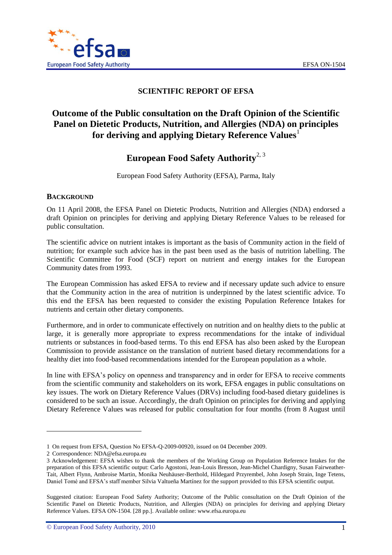

# **SCIENTIFIC REPORT OF EFSA**

# **Outcome of the Public consultation on the Draft Opinion of the Scientific Panel on Dietetic Products, Nutrition, and Allergies (NDA) on principles for deriving and applying Dietary Reference Values**<sup>1</sup>

# **European Food Safety Authority**2, 3

European Food Safety Authority (EFSA), Parma, Italy

# **BACKGROUND**

On 11 April 2008, the EFSA Panel on Dietetic Products, Nutrition and Allergies (NDA) endorsed a draft Opinion on principles for deriving and applying Dietary Reference Values to be released for public consultation.

The scientific advice on nutrient intakes is important as the basis of Community action in the field of nutrition; for example such advice has in the past been used as the basis of nutrition labelling. The Scientific Committee for Food (SCF) report on nutrient and energy intakes for the European Community dates from 1993.

The European Commission has asked EFSA to review and if necessary update such advice to ensure that the Community action in the area of nutrition is underpinned by the latest scientific advice. To this end the EFSA has been requested to consider the existing Population Reference Intakes for nutrients and certain other dietary components.

Furthermore, and in order to communicate effectively on nutrition and on healthy diets to the public at large, it is generally more appropriate to express recommendations for the intake of individual nutrients or substances in food-based terms. To this end EFSA has also been asked by the European Commission to provide assistance on the translation of nutrient based dietary recommendations for a healthy diet into food-based recommendations intended for the European population as a whole.

In line with EFSA"s policy on openness and transparency and in order for EFSA to receive comments from the scientific community and stakeholders on its work, EFSA engages in public consultations on key issues. The work on Dietary Reference Values (DRVs) including food-based dietary guidelines is considered to be such an issue. Accordingly, the draft Opinion on principles for deriving and applying Dietary Reference Values was released for public consultation for four months (from 8 August until

l

<sup>1</sup> On request from EFSA, Question No EFSA-Q-2009-00920, issued on 04 December 2009.

<sup>2</sup> Correspondence: NDA@efsa.europa.eu

<sup>3</sup> Acknowledgement: EFSA wishes to thank the members of the Working Group on Population Reference Intakes for the preparation of this EFSA scientific output: Carlo Agostoni, Jean-Louis Bresson, Jean-Michel Chardigny, Susan Fairweather-Tait, Albert Flynn, Ambroise Martin, Monika Neuhäuser-Berthold, Hildegard Przyrembel, John Joseph Strain, Inge Tetens, Daniel Tomé and EFSA"s staff member Silvia Valtueña Martínez for the support provided to this EFSA scientific output.

Suggested citation: European Food Safety Authority; Outcome of the Public consultation on the Draft Opinion of the Scientific Panel on Dietetic Products, Nutrition, and Allergies (NDA) on principles for deriving and applying Dietary Reference Values. EFSA ON-1504. [28 pp.]. Available online: www.efsa.europa.eu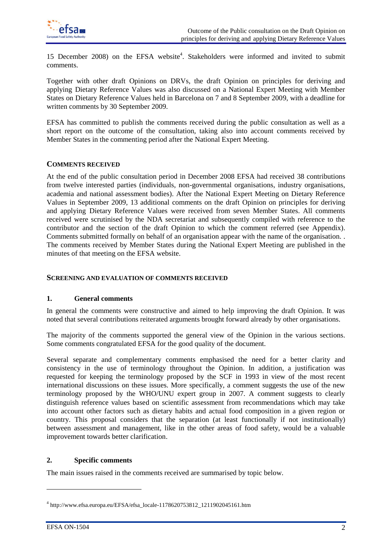

15 December 2008) on the EFSA website<sup>4</sup>. Stakeholders were informed and invited to submit comments.

Together with other draft Opinions on DRVs, the draft Opinion on principles for deriving and applying Dietary Reference Values was also discussed on a National Expert Meeting with Member States on Dietary Reference Values held in Barcelona on 7 and 8 September 2009, with a deadline for written comments by 30 September 2009.

EFSA has committed to publish the comments received during the public consultation as well as a short report on the outcome of the consultation, taking also into account comments received by Member States in the commenting period after the National Expert Meeting.

#### **COMMENTS RECEIVED**

At the end of the public consultation period in December 2008 EFSA had received 38 contributions from twelve interested parties (individuals, non-governmental organisations, industry organisations, academia and national assessment bodies). After the National Expert Meeting on Dietary Reference Values in September 2009, 13 additional comments on the draft Opinion on principles for deriving and applying Dietary Reference Values were received from seven Member States. All comments received were scrutinised by the NDA secretariat and subsequently compiled with reference to the contributor and the section of the draft Opinion to which the comment referred (see Appendix). Comments submitted formally on behalf of an organisation appear with the name of the organisation. . The comments received by Member States during the National Expert Meeting are published in the minutes of that meeting on the EFSA website.

#### **SCREENING AND EVALUATION OF COMMENTS RECEIVED**

#### **1. General comments**

In general the comments were constructive and aimed to help improving the draft Opinion. It was noted that several contributions reiterated arguments brought forward already by other organisations.

The majority of the comments supported the general view of the Opinion in the various sections. Some comments congratulated EFSA for the good quality of the document.

Several separate and complementary comments emphasised the need for a better clarity and consistency in the use of terminology throughout the Opinion. In addition, a justification was requested for keeping the terminology proposed by the SCF in 1993 in view of the most recent international discussions on these issues. More specifically, a comment suggests the use of the new terminology proposed by the WHO/UNU expert group in 2007. A comment suggests to clearly distinguish reference values based on scientific assessment from recommendations which may take into account other factors such as dietary habits and actual food composition in a given region or country. This proposal considers that the separation (at least functionally if not institutionally) between assessment and management, like in the other areas of food safety, would be a valuable improvement towards better clarification.

#### **2. Specific comments**

The main issues raised in the comments received are summarised by topic below.

 $\overline{a}$ 

<sup>4</sup> http://www.efsa.europa.eu/EFSA/efsa\_locale-1178620753812\_1211902045161.htm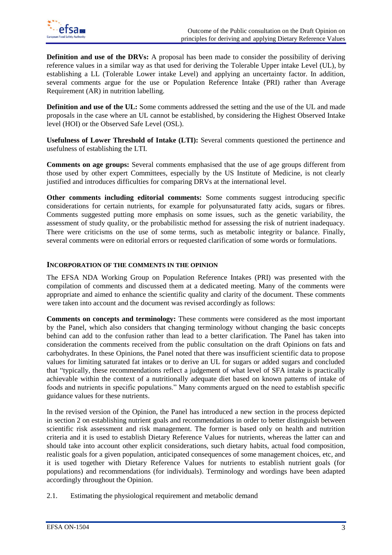

**Definition and use of the DRVs:** A proposal has been made to consider the possibility of deriving reference values in a similar way as that used for deriving the Tolerable Upper intake Level (UL), by establishing a LL (Tolerable Lower intake Level) and applying an uncertainty factor. In addition, several comments argue for the use or Population Reference Intake (PRI) rather than Average Requirement (AR) in nutrition labelling.

**Definition and use of the UL:** Some comments addressed the setting and the use of the UL and made proposals in the case where an UL cannot be established, by considering the Highest Observed Intake level (HOI) or the Observed Safe Level (OSL).

**Usefulness of Lower Threshold of Intake (LTI):** Several comments questioned the pertinence and usefulness of establishing the LTI.

**Comments on age groups:** Several comments emphasised that the use of age groups different from those used by other expert Committees, especially by the US Institute of Medicine, is not clearly justified and introduces difficulties for comparing DRVs at the international level.

**Other comments including editorial comments:** Some comments suggest introducing specific considerations for certain nutrients, for example for polyunsaturated fatty acids, sugars or fibres. Comments suggested putting more emphasis on some issues, such as the genetic variability, the assessment of study quality, or the probabilistic method for assessing the risk of nutrient inadequacy. There were criticisms on the use of some terms, such as metabolic integrity or balance. Finally, several comments were on editorial errors or requested clarification of some words or formulations.

### **INCORPORATION OF THE COMMENTS IN THE OPINION**

The EFSA NDA Working Group on Population Reference Intakes (PRI) was presented with the compilation of comments and discussed them at a dedicated meeting. Many of the comments were appropriate and aimed to enhance the scientific quality and clarity of the document. These comments were taken into account and the document was revised accordingly as follows:

**Comments on concepts and terminology:** These comments were considered as the most important by the Panel, which also considers that changing terminology without changing the basic concepts behind can add to the confusion rather than lead to a better clarification. The Panel has taken into consideration the comments received from the public consultation on the draft Opinions on fats and carbohydrates. In these Opinions, the Panel noted that there was insufficient scientific data to propose values for limiting saturated fat intakes or to derive an UL for sugars or added sugars and concluded that "typically, these recommendations reflect a judgement of what level of SFA intake is practically achievable within the context of a nutritionally adequate diet based on known patterns of intake of foods and nutrients in specific populations." Many comments argued on the need to establish specific guidance values for these nutrients.

In the revised version of the Opinion, the Panel has introduced a new section in the process depicted in section 2 on establishing nutrient goals and recommendations in order to better distinguish between scientific risk assessment and risk management. The former is based only on health and nutrition criteria and it is used to establish Dietary Reference Values for nutrients, whereas the latter can and should take into account other explicit considerations, such dietary habits, actual food composition, realistic goals for a given population, anticipated consequences of some management choices, etc, and it is used together with Dietary Reference Values for nutrients to establish nutrient goals (for populations) and recommendations (for individuals). Terminology and wordings have been adapted accordingly throughout the Opinion.

2.1. Estimating the physiological requirement and metabolic demand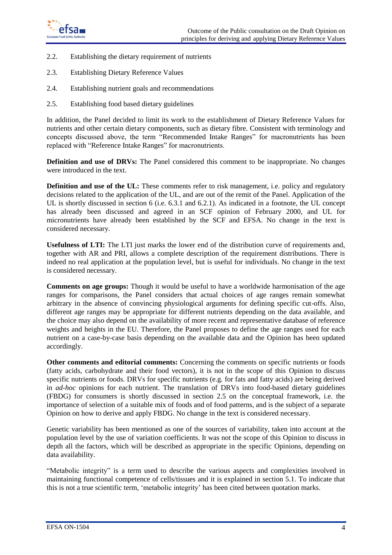

- 2.2. Establishing the dietary requirement of nutrients
- 2.3. Establishing Dietary Reference Values
- 2.4. Establishing nutrient goals and recommendations
- 2.5. Establishing food based dietary guidelines

In addition, the Panel decided to limit its work to the establishment of Dietary Reference Values for nutrients and other certain dietary components, such as dietary fibre. Consistent with terminology and concepts discussed above, the term "Recommended Intake Ranges" for macronutrients has been replaced with "Reference Intake Ranges" for macronutrients.

**Definition and use of DRVs:** The Panel considered this comment to be inappropriate. No changes were introduced in the text.

**Definition and use of the UL:** These comments refer to risk management, i.e. policy and regulatory decisions related to the application of the UL, and are out of the remit of the Panel. Application of the UL is shortly discussed in section 6 (i.e. 6.3.1 and 6.2.1). As indicated in a footnote, the UL concept has already been discussed and agreed in an SCF opinion of February 2000, and UL for micronutrients have already been established by the SCF and EFSA. No change in the text is considered necessary.

**Usefulness of LTI:** The LTI just marks the lower end of the distribution curve of requirements and, together with AR and PRI, allows a complete description of the requirement distributions. There is indeed no real application at the population level, but is useful for individuals. No change in the text is considered necessary.

**Comments on age groups:** Though it would be useful to have a worldwide harmonisation of the age ranges for comparisons, the Panel considers that actual choices of age ranges remain somewhat arbitrary in the absence of convincing physiological arguments for defining specific cut-offs. Also, different age ranges may be appropriate for different nutrients depending on the data available, and the choice may also depend on the availability of more recent and representative database of reference weights and heights in the EU. Therefore, the Panel proposes to define the age ranges used for each nutrient on a case-by-case basis depending on the available data and the Opinion has been updated accordingly.

**Other comments and editorial comments:** Concerning the comments on specific nutrients or foods (fatty acids, carbohydrate and their food vectors), it is not in the scope of this Opinion to discuss specific nutrients or foods. DRVs for specific nutrients (e.g. for fats and fatty acids) are being derived in *ad-hoc* opinions for each nutrient. The translation of DRVs into food-based dietary guidelines (FBDG) for consumers is shortly discussed in section 2.5 on the conceptual framework, i.e. the importance of selection of a suitable mix of foods and of food patterns, and is the subject of a separate Opinion on how to derive and apply FBDG. No change in the text is considered necessary.

Genetic variability has been mentioned as one of the sources of variability, taken into account at the population level by the use of variation coefficients. It was not the scope of this Opinion to discuss in depth all the factors, which will be described as appropriate in the specific Opinions, depending on data availability.

"Metabolic integrity" is a term used to describe the various aspects and complexities involved in maintaining functional competence of cells/tissues and it is explained in section 5.1. To indicate that this is not a true scientific term, "metabolic integrity" has been cited between quotation marks.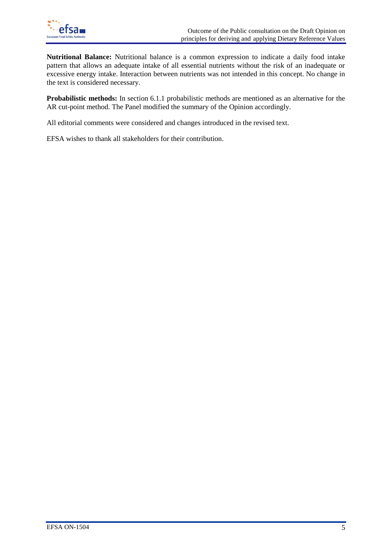

**Nutritional Balance:** Nutritional balance is a common expression to indicate a daily food intake pattern that allows an adequate intake of all essential nutrients without the risk of an inadequate or excessive energy intake. Interaction between nutrients was not intended in this concept. No change in the text is considered necessary.

**Probabilistic methods:** In section 6.1.1 probabilistic methods are mentioned as an alternative for the AR cut-point method. The Panel modified the summary of the Opinion accordingly.

All editorial comments were considered and changes introduced in the revised text.

EFSA wishes to thank all stakeholders for their contribution.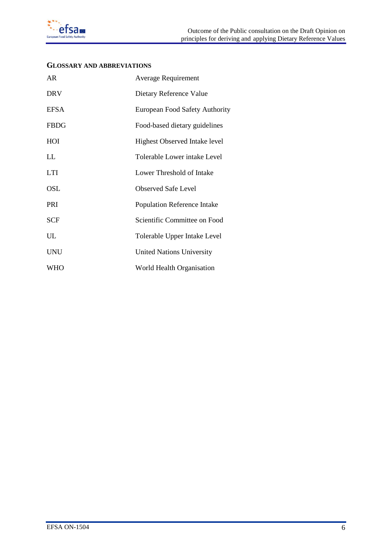

### **GLOSSARY AND ABBREVIATIONS**

| AR          | <b>Average Requirement</b>            |
|-------------|---------------------------------------|
| <b>DRV</b>  | Dietary Reference Value               |
| <b>EFSA</b> | <b>European Food Safety Authority</b> |
| <b>FBDG</b> | Food-based dietary guidelines         |
| HOI         | <b>Highest Observed Intake level</b>  |
| LL          | Tolerable Lower intake Level          |
| <b>LTI</b>  | Lower Threshold of Intake             |
| <b>OSL</b>  | <b>Observed Safe Level</b>            |
| <b>PRI</b>  | Population Reference Intake           |
| <b>SCF</b>  | Scientific Committee on Food          |
| UL          | Tolerable Upper Intake Level          |
| <b>UNU</b>  | <b>United Nations University</b>      |
| <b>WHO</b>  | World Health Organisation             |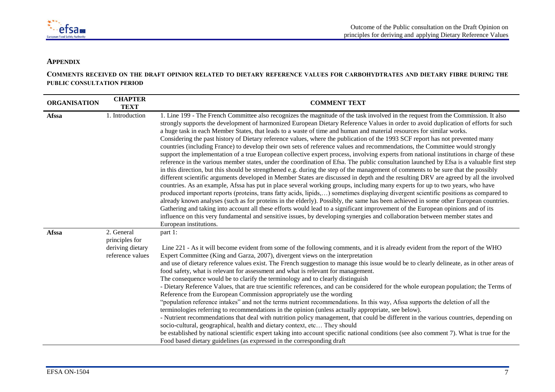

# **APPENDIX**

#### **COMMENTS RECEIVED ON THE DRAFT OPINION RELATED TO DIETARY REFERENCE VALUES FOR CARBOHYDTRATES AND DIETARY FIBRE DURING THE PUBLIC CONSULTATION PERIOD**

| <b>ORGANISATION</b> | <b>CHAPTER</b><br><b>TEXT</b>                                        | <b>COMMENT TEXT</b>                                                                                                                                                                                                                                                                                                                                                                                                                                                                                                                                                                                                                                                                                                                                                                                                                                                                                                                                                                                                                                                                                                                                                                                                                                                                                                                                                                                                                                                                                                                                                                                                                                                                                                                                                                                                                                                                                                                                     |
|---------------------|----------------------------------------------------------------------|---------------------------------------------------------------------------------------------------------------------------------------------------------------------------------------------------------------------------------------------------------------------------------------------------------------------------------------------------------------------------------------------------------------------------------------------------------------------------------------------------------------------------------------------------------------------------------------------------------------------------------------------------------------------------------------------------------------------------------------------------------------------------------------------------------------------------------------------------------------------------------------------------------------------------------------------------------------------------------------------------------------------------------------------------------------------------------------------------------------------------------------------------------------------------------------------------------------------------------------------------------------------------------------------------------------------------------------------------------------------------------------------------------------------------------------------------------------------------------------------------------------------------------------------------------------------------------------------------------------------------------------------------------------------------------------------------------------------------------------------------------------------------------------------------------------------------------------------------------------------------------------------------------------------------------------------------------|
| Afssa               | 1. Introduction                                                      | 1. Line 199 - The French Committee also recognizes the magnitude of the task involved in the request from the Commission. It also<br>strongly supports the development of harmonized European Dietary Reference Values in order to avoid duplication of efforts for such<br>a huge task in each Member States, that leads to a waste of time and human and material resources for similar works.<br>Considering the past history of Dietary reference values, where the publication of the 1993 SCF report has not prevented many<br>countries (including France) to develop their own sets of reference values and recommendations, the Committee would strongly<br>support the implementation of a true European collective expert process, involving experts from national institutions in charge of these<br>reference in the various member states, under the coordination of Efsa. The public consultation launched by Efsa is a valuable first step<br>in this direction, but this should be strengthened e.g. during the step of the management of comments to be sure that the possibly<br>different scientific arguments developed in Member States are discussed in depth and the resulting DRV are agreed by all the involved<br>countries. As an example, Afssa has put in place several working groups, including many experts for up to two years, who have<br>produced important reports (proteins, trans fatty acids, lipids,) sometimes displaying divergent scientific positions as compared to<br>already known analyses (such as for proteins in the elderly). Possibly, the same has been achieved in some other European countries.<br>Gathering and taking into account all these efforts would lead to a significant improvement of the European opinions and of its<br>influence on this very fundamental and sensitive issues, by developing synergies and collaboration between member states and<br>European institutions. |
| Afssa               | 2. General<br>principles for<br>deriving dietary<br>reference values | part 1:<br>Line 221 - As it will become evident from some of the following comments, and it is already evident from the report of the WHO<br>Expert Committee (King and Garza, 2007), divergent views on the interpretation<br>and use of dietary reference values exist. The French suggestion to manage this issue would be to clearly delineate, as in other areas of<br>food safety, what is relevant for assessment and what is relevant for management.<br>The consequence would be to clarify the terminology and to clearly distinguish<br>- Dietary Reference Values, that are true scientific references, and can be considered for the whole european population; the Terms of<br>Reference from the European Commission appropriately use the wording<br>"population reference intakes" and not the terms nutrient recommendations. In this way, Afssa supports the deletion of all the<br>terminologies referring to recommendations in the opinion (unless actually appropriate, see below).<br>- Nutrient recommendations that deal with nutrition policy management, that could be different in the various countries, depending on<br>socio-cultural, geographical, health and dietary context, etc They should<br>be established by national scientific expert taking into account specific national conditions (see also comment 7). What is true for the<br>Food based dietary guidelines (as expressed in the corresponding draft                                                                                                                                                                                                                                                                                                                                                                                                                                                                                                  |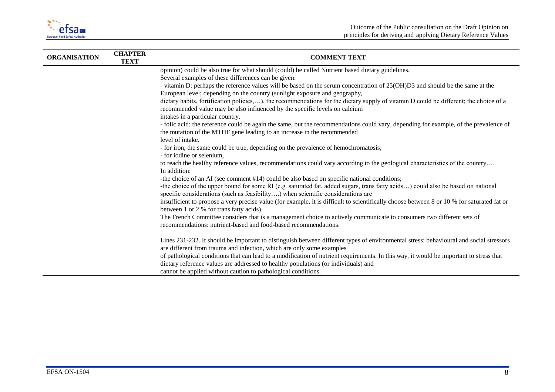

| <b>ORGANISATION</b> | <b>CHAPTER</b><br><b>TEXT</b> | <b>COMMENT TEXT</b>                                                                                                                                                                                                  |
|---------------------|-------------------------------|----------------------------------------------------------------------------------------------------------------------------------------------------------------------------------------------------------------------|
|                     |                               | opinion) could be also true for what should (could) be called Nutrient based dietary guidelines.                                                                                                                     |
|                     |                               | Several examples of these differences can be given:                                                                                                                                                                  |
|                     |                               | - vitamin D: perhaps the reference values will be based on the serum concentration of 25(OH)D3 and should be the same at the<br>European level; depending on the country (sunlight exposure and geography,           |
|                     |                               | dietary habits, fortification policies,), the recommendations for the dietary supply of vitamin D could be different; the choice of a<br>recommended value may be also influenced by the specific levels on calcium  |
|                     |                               | intakes in a particular country.                                                                                                                                                                                     |
|                     |                               | - folic acid: the reference could be again the same, but the recommendations could vary, depending for example, of the prevalence of<br>the mutation of the MTHF gene leading to an increase in the recommended      |
|                     |                               | level of intake.                                                                                                                                                                                                     |
|                     |                               | - for iron, the same could be true, depending on the prevalence of hemochromatosis;                                                                                                                                  |
|                     |                               | - for iodine or selenium.                                                                                                                                                                                            |
|                     |                               | to reach the healthy reference values, recommendations could vary according to the geological characteristics of the country<br>In addition:                                                                         |
|                     |                               | -the choice of an AI (see comment #14) could be also based on specific national conditions;                                                                                                                          |
|                     |                               | -the choice of the upper bound for some RI (e.g. saturated fat, added sugars, trans fatty acids) could also be based on national<br>specific considerations (such as feasibility) when scientific considerations are |
|                     |                               | insufficient to propose a very precise value (for example, it is difficult to scientifically choose between 8 or 10 % for saturated fat or<br>between 1 or 2 % for trans fatty acids).                               |
|                     |                               | The French Committee considers that is a management choice to actively communicate to consumers two different sets of                                                                                                |
|                     |                               | recommendations: nutrient-based and food-based recommendations.                                                                                                                                                      |
|                     |                               | Lines 231-232. It should be important to distinguish between different types of environmental stress: behavioural and social stressors                                                                               |
|                     |                               | are different from trauma and infection, which are only some examples                                                                                                                                                |
|                     |                               | of pathological conditions that can lead to a modification of nutrient requirements. In this way, it would be important to stress that                                                                               |
|                     |                               | dietary reference values are addressed to healthy populations (or individuals) and                                                                                                                                   |
|                     |                               | cannot be applied without caution to pathological conditions.                                                                                                                                                        |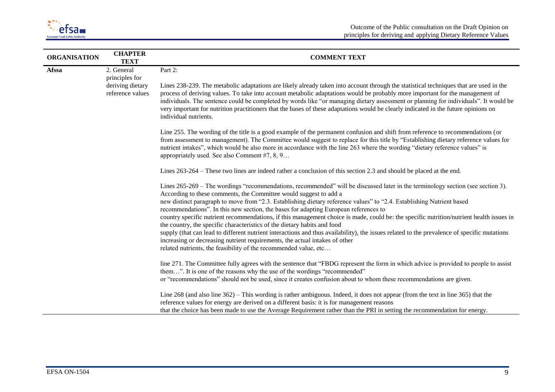

| <b>ORGANISATION</b> | <b>CHAPTER</b><br><b>TEXT</b>                                        | <b>COMMENT TEXT</b>                                                                                                                                                                                                                                                                                                                                                                                                                                                                                                                                                                                                                                                                                                                                                                                                                                                                                                                                                                                                                                                                                                                                                                                                                                                                                                                                                                                                                                                                                                     |
|---------------------|----------------------------------------------------------------------|-------------------------------------------------------------------------------------------------------------------------------------------------------------------------------------------------------------------------------------------------------------------------------------------------------------------------------------------------------------------------------------------------------------------------------------------------------------------------------------------------------------------------------------------------------------------------------------------------------------------------------------------------------------------------------------------------------------------------------------------------------------------------------------------------------------------------------------------------------------------------------------------------------------------------------------------------------------------------------------------------------------------------------------------------------------------------------------------------------------------------------------------------------------------------------------------------------------------------------------------------------------------------------------------------------------------------------------------------------------------------------------------------------------------------------------------------------------------------------------------------------------------------|
| Afssa               | 2. General<br>principles for<br>deriving dietary<br>reference values | Part 2:<br>Lines 238-239. The metabolic adaptations are likely already taken into account through the statistical techniques that are used in the<br>process of deriving values. To take into account metabolic adaptations would be probably more important for the management of<br>individuals. The sentence could be completed by words like "or managing dietary assessment or planning for individuals". It would be<br>very important for nutrition practitioners that the bases of these adaptations would be clearly indicated in the future opinions on<br>individual nutrients.<br>Line 255. The wording of the title is a good example of the permanent confusion and shift from reference to recommendations (or<br>from assessment to management). The Committee would suggest to replace for this title by "Establishing dietary reference values for<br>nutrient intakes", which would be also more in accordance with the line 263 where the wording "dietary reference values" is<br>appropriately used. See also Comment #7, 8, 9<br>Lines 263-264 – These two lines are indeed rather a conclusion of this section 2.3 and should be placed at the end.<br>Lines 265-269 – The wordings "recommendations, recommended" will be discussed later in the terminology section (see section 3).                                                                                                                                                                                                          |
|                     |                                                                      | According to these comments, the Committee would suggest to add a<br>new distinct paragraph to move from "2.3. Establishing dietary reference values" to "2.4. Establishing Nutrient based<br>recommendations". In this new section, the bases for adapting European references to<br>country specific nutrient recommendations, if this management choice is made, could be: the specific nutrition/nutrient health issues in<br>the country, the specific characteristics of the dietary habits and food<br>supply (that can lead to different nutrient interactions and thus availability), the issues related to the prevalence of specific mutations<br>increasing or decreasing nutrient requirements, the actual intakes of other<br>related nutrients, the feasibility of the recommended value, etc<br>line 271. The Committee fully agrees with the sentence that "FBDG represent the form in which advice is provided to people to assist<br>them". It is one of the reasons why the use of the wordings "recommended"<br>or "recommendations" should not be used, since it creates confusion about to whom these recommendations are given.<br>Line 268 (and also line 362) – This wording is rather ambiguous. Indeed, it does not appear (from the text in line 365) that the<br>reference values for energy are derived on a different basis: it is for management reasons<br>that the choice has been made to use the Average Requirement rather than the PRI in setting the recommendation for energy. |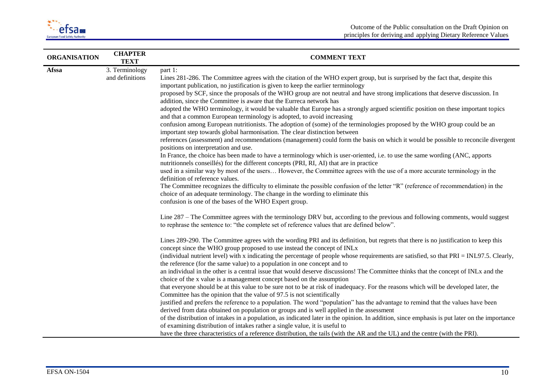

| <b>ORGANISATION</b> | <b>CHAPTER</b><br><b>TEXT</b>     | <b>COMMENT TEXT</b>                                                                                                                                                                                                                                                                                                                                                                                                                                                                                                                                                                                                                                                                                                                                                                                                                                                                                                                                                                                                                                                                                                                                                                                                                                                                                                                                                                                                                                                                                                                                                                                                                                                                                                                                                                                                                                    |
|---------------------|-----------------------------------|--------------------------------------------------------------------------------------------------------------------------------------------------------------------------------------------------------------------------------------------------------------------------------------------------------------------------------------------------------------------------------------------------------------------------------------------------------------------------------------------------------------------------------------------------------------------------------------------------------------------------------------------------------------------------------------------------------------------------------------------------------------------------------------------------------------------------------------------------------------------------------------------------------------------------------------------------------------------------------------------------------------------------------------------------------------------------------------------------------------------------------------------------------------------------------------------------------------------------------------------------------------------------------------------------------------------------------------------------------------------------------------------------------------------------------------------------------------------------------------------------------------------------------------------------------------------------------------------------------------------------------------------------------------------------------------------------------------------------------------------------------------------------------------------------------------------------------------------------------|
| Afssa               | 3. Terminology<br>and definitions | part 1:<br>Lines 281-286. The Committee agrees with the citation of the WHO expert group, but is surprised by the fact that, despite this<br>important publication, no justification is given to keep the earlier terminology<br>proposed by SCF, since the proposals of the WHO group are not neutral and have strong implications that deserve discussion. In<br>addition, since the Committee is aware that the Eurreca network has<br>adopted the WHO terminology, it would be valuable that Europe has a strongly argued scientific position on these important topics<br>and that a common European terminology is adopted, to avoid increasing<br>confusion among European nutritionists. The adoption of (some) of the terminologies proposed by the WHO group could be an<br>important step towards global harmonisation. The clear distinction between<br>references (assessment) and recommendations (management) could form the basis on which it would be possible to reconcile divergent<br>positions on interpretation and use.<br>In France, the choice has been made to have a terminology which is user-oriented, i.e. to use the same wording (ANC, apports<br>nutritionnels conseillés) for the different concepts (PRI, RI, AI) that are in practice<br>used in a similar way by most of the users However, the Committee agrees with the use of a more accurate terminology in the<br>definition of reference values.<br>The Committee recognizes the difficulty to eliminate the possible confusion of the letter "R" (reference of recommendation) in the                                                                                                                                                                                                                                                                      |
|                     |                                   | choice of an adequate terminology. The change in the wording to eliminate this<br>confusion is one of the bases of the WHO Expert group.<br>Line 287 – The Committee agrees with the terminology DRV but, according to the previous and following comments, would suggest<br>to rephrase the sentence to: "the complete set of reference values that are defined below".<br>Lines 289-290. The Committee agrees with the wording PRI and its definition, but regrets that there is no justification to keep this<br>concept since the WHO group proposed to use instead the concept of INLx<br>(individual nutrient level) with x indicating the percentage of people whose requirements are satisfied, so that PRI = INL97.5. Clearly,<br>the reference (for the same value) to a population in one concept and to<br>an individual in the other is a central issue that would deserve discussions! The Committee thinks that the concept of INLx and the<br>choice of the x value is a management concept based on the assumption<br>that everyone should be at this value to be sure not to be at risk of inadequacy. For the reasons which will be developed later, the<br>Committee has the opinion that the value of 97.5 is not scientifically<br>justified and prefers the reference to a population. The word "population" has the advantage to remind that the values have been<br>derived from data obtained on population or groups and is well applied in the assessment<br>of the distribution of intakes in a population, as indicated later in the opinion. In addition, since emphasis is put later on the importance<br>of examining distribution of intakes rather a single value, it is useful to<br>have the three characteristics of a reference distribution, the tails (with the AR and the UL) and the centre (with the PRI). |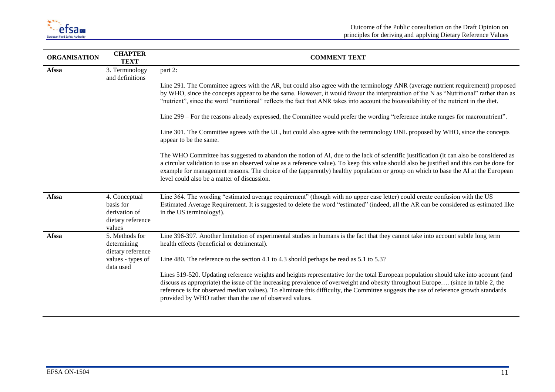

| <b>ORGANISATION</b> | <b>CHAPTER</b><br><b>TEXT</b>                                              | <b>COMMENT TEXT</b>                                                                                                                                                                                                                                                                                                                                                                                                                                                          |
|---------------------|----------------------------------------------------------------------------|------------------------------------------------------------------------------------------------------------------------------------------------------------------------------------------------------------------------------------------------------------------------------------------------------------------------------------------------------------------------------------------------------------------------------------------------------------------------------|
| Afssa               | 3. Terminology<br>and definitions                                          | part 2:                                                                                                                                                                                                                                                                                                                                                                                                                                                                      |
|                     |                                                                            | Line 291. The Committee agrees with the AR, but could also agree with the terminology ANR (average nutrient requirement) proposed<br>by WHO, since the concepts appear to be the same. However, it would favour the interpretation of the N as "Nutritional" rather than as<br>"nutrient", since the word "nutritional" reflects the fact that ANR takes into account the bioavailability of the nutrient in the diet.                                                       |
|                     |                                                                            | Line 299 – For the reasons already expressed, the Committee would prefer the wording "reference intake ranges for macronutrient".                                                                                                                                                                                                                                                                                                                                            |
|                     |                                                                            | Line 301. The Committee agrees with the UL, but could also agree with the terminology UNL proposed by WHO, since the concepts<br>appear to be the same.                                                                                                                                                                                                                                                                                                                      |
|                     |                                                                            | The WHO Committee has suggested to abandon the notion of AI, due to the lack of scientific justification (it can also be considered as<br>a circular validation to use an observed value as a reference value). To keep this value should also be justified and this can be done for<br>example for management reasons. The choice of the (apparently) healthy population or group on which to base the AI at the European<br>level could also be a matter of discussion.    |
| <b>Afssa</b>        | 4. Conceptual<br>basis for<br>derivation of<br>dietary reference<br>values | Line 364. The wording "estimated average requirement" (though with no upper case letter) could create confusion with the US<br>Estimated Average Requirement. It is suggested to delete the word "estimated" (indeed, all the AR can be considered as estimated like<br>in the US terminology!).                                                                                                                                                                             |
| Afssa               | 5. Methods for<br>determining<br>dietary reference                         | Line 396-397. Another limitation of experimental studies in humans is the fact that they cannot take into account subtle long term<br>health effects (beneficial or detrimental).                                                                                                                                                                                                                                                                                            |
|                     | values - types of<br>data used                                             | Line 480. The reference to the section 4.1 to 4.3 should perhaps be read as 5.1 to 5.3?                                                                                                                                                                                                                                                                                                                                                                                      |
|                     |                                                                            | Lines 519-520. Updating reference weights and heights representative for the total European population should take into account (and<br>discuss as appropriate) the issue of the increasing prevalence of overweight and obesity throughout Europe (since in table 2, the<br>reference is for observed median values). To eliminate this difficulty, the Committee suggests the use of reference growth standards<br>provided by WHO rather than the use of observed values. |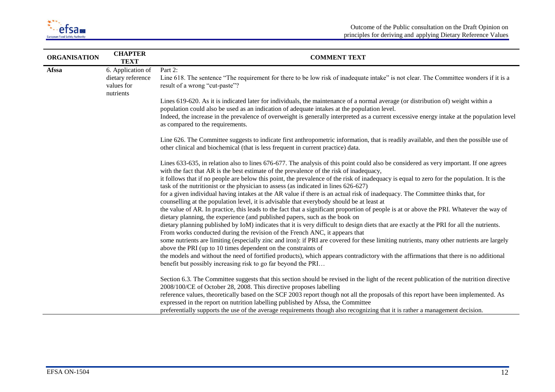

| <b>ORGANISATION</b> | <b>CHAPTER</b><br><b>TEXT</b>                                     | <b>COMMENT TEXT</b>                                                                                                                                                                                                                                                                                                                                                                                                                                                    |
|---------------------|-------------------------------------------------------------------|------------------------------------------------------------------------------------------------------------------------------------------------------------------------------------------------------------------------------------------------------------------------------------------------------------------------------------------------------------------------------------------------------------------------------------------------------------------------|
| Afssa               | 6. Application of<br>dietary reference<br>values for<br>nutrients | Part 2:<br>Line 618. The sentence "The requirement for there to be low risk of inadequate intake" is not clear. The Committee wonders if it is a<br>result of a wrong "cut-paste"?                                                                                                                                                                                                                                                                                     |
|                     |                                                                   | Lines 619-620. As it is indicated later for individuals, the maintenance of a normal average (or distribution of) weight within a                                                                                                                                                                                                                                                                                                                                      |
|                     |                                                                   | population could also be used as an indication of adequate intakes at the population level.<br>Indeed, the increase in the prevalence of overweight is generally interpreted as a current excessive energy intake at the population level<br>as compared to the requirements.                                                                                                                                                                                          |
|                     |                                                                   | Line 626. The Committee suggests to indicate first anthropometric information, that is readily available, and then the possible use of<br>other clinical and biochemical (that is less frequent in current practice) data.                                                                                                                                                                                                                                             |
|                     |                                                                   | Lines 633-635, in relation also to lines 676-677. The analysis of this point could also be considered as very important. If one agrees<br>with the fact that AR is the best estimate of the prevalence of the risk of inadequacy,<br>it follows that if no people are below this point, the prevalence of the risk of inadequacy is equal to zero for the population. It is the<br>task of the nutritionist or the physician to assess (as indicated in lines 626-627) |
|                     |                                                                   | for a given individual having intakes at the AR value if there is an actual risk of inadequacy. The Committee thinks that, for<br>counselling at the population level, it is advisable that everybody should be at least at                                                                                                                                                                                                                                            |
|                     |                                                                   | the value of AR. In practice, this leads to the fact that a significant proportion of people is at or above the PRI. Whatever the way of<br>dietary planning, the experience (and published papers, such as the book on                                                                                                                                                                                                                                                |
|                     |                                                                   | dietary planning published by IoM) indicates that it is very difficult to design diets that are exactly at the PRI for all the nutrients.<br>From works conducted during the revision of the French ANC, it appears that                                                                                                                                                                                                                                               |
|                     |                                                                   | some nutrients are limiting (especially zinc and iron): if PRI are covered for these limiting nutrients, many other nutrients are largely<br>above the PRI (up to 10 times dependent on the constraints of                                                                                                                                                                                                                                                             |
|                     |                                                                   | the models and without the need of fortified products), which appears contradictory with the affirmations that there is no additional<br>benefit but possibly increasing risk to go far beyond the PRI                                                                                                                                                                                                                                                                 |
|                     |                                                                   | Section 6.3. The Committee suggests that this section should be revised in the light of the recent publication of the nutrition directive<br>2008/100/CE of October 28, 2008. This directive proposes labelling                                                                                                                                                                                                                                                        |
|                     |                                                                   | reference values, theoretically based on the SCF 2003 report though not all the proposals of this report have been implemented. As<br>expressed in the report on nutrition labelling published by Afssa, the Committee                                                                                                                                                                                                                                                 |
|                     |                                                                   | preferentially supports the use of the average requirements though also recognizing that it is rather a management decision.                                                                                                                                                                                                                                                                                                                                           |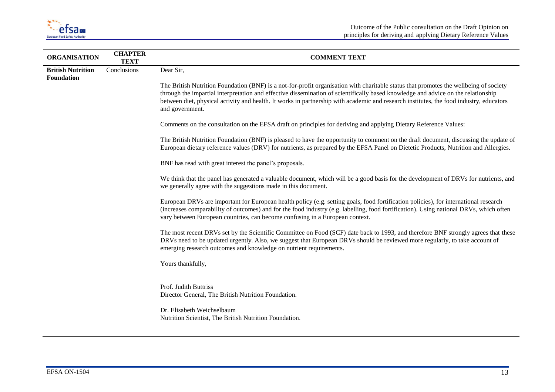

| <b>ORGANISATION</b>                    | <b>CHAPTER</b><br><b>TEXT</b> | <b>COMMENT TEXT</b>                                                                                                                                                                                                                                                                                                                                                                                                                      |
|----------------------------------------|-------------------------------|------------------------------------------------------------------------------------------------------------------------------------------------------------------------------------------------------------------------------------------------------------------------------------------------------------------------------------------------------------------------------------------------------------------------------------------|
| <b>British Nutrition</b><br>Foundation | Conclusions                   | Dear Sir,                                                                                                                                                                                                                                                                                                                                                                                                                                |
|                                        |                               | The British Nutrition Foundation (BNF) is a not-for-profit organisation with charitable status that promotes the wellbeing of society<br>through the impartial interpretation and effective dissemination of scientifically based knowledge and advice on the relationship<br>between diet, physical activity and health. It works in partnership with academic and research institutes, the food industry, educators<br>and government. |
|                                        |                               | Comments on the consultation on the EFSA draft on principles for deriving and applying Dietary Reference Values:                                                                                                                                                                                                                                                                                                                         |
|                                        |                               | The British Nutrition Foundation (BNF) is pleased to have the opportunity to comment on the draft document, discussing the update of<br>European dietary reference values (DRV) for nutrients, as prepared by the EFSA Panel on Dietetic Products, Nutrition and Allergies.                                                                                                                                                              |
|                                        |                               | BNF has read with great interest the panel's proposals.                                                                                                                                                                                                                                                                                                                                                                                  |
|                                        |                               | We think that the panel has generated a valuable document, which will be a good basis for the development of DRVs for nutrients, and<br>we generally agree with the suggestions made in this document.                                                                                                                                                                                                                                   |
|                                        |                               | European DRVs are important for European health policy (e.g. setting goals, food fortification policies), for international research<br>(increases comparability of outcomes) and for the food industry (e.g. labelling, food fortification). Using national DRVs, which often<br>vary between European countries, can become confusing in a European context.                                                                           |
|                                        |                               | The most recent DRVs set by the Scientific Committee on Food (SCF) date back to 1993, and therefore BNF strongly agrees that these<br>DRVs need to be updated urgently. Also, we suggest that European DRVs should be reviewed more regularly, to take account of<br>emerging research outcomes and knowledge on nutrient requirements.                                                                                                  |
|                                        |                               | Yours thankfully,                                                                                                                                                                                                                                                                                                                                                                                                                        |
|                                        |                               | Prof. Judith Buttriss<br>Director General, The British Nutrition Foundation.                                                                                                                                                                                                                                                                                                                                                             |
|                                        |                               | Dr. Elisabeth Weichselbaum<br>Nutrition Scientist, The British Nutrition Foundation.                                                                                                                                                                                                                                                                                                                                                     |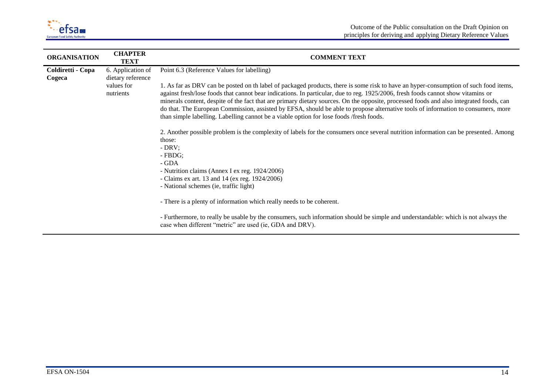

| <b>ORGANISATION</b> | <b>CHAPTER</b><br>TEXT          | <b>COMMENT TEXT</b>                                                                                                                                                                                                                                                                                                                                                                                                                                                                                         |
|---------------------|---------------------------------|-------------------------------------------------------------------------------------------------------------------------------------------------------------------------------------------------------------------------------------------------------------------------------------------------------------------------------------------------------------------------------------------------------------------------------------------------------------------------------------------------------------|
| Coldiretti - Copa   | 6. Application of               | Point 6.3 (Reference Values for labelling)                                                                                                                                                                                                                                                                                                                                                                                                                                                                  |
| Cogeca              | dietary reference<br>values for | 1. As far as DRV can be posted on th label of packaged products, there is some risk to have an hyper-consumption of such food items,                                                                                                                                                                                                                                                                                                                                                                        |
|                     | nutrients                       | against fresh/lose foods that cannot bear indications. In particular, due to reg. 1925/2006, fresh foods cannot show vitamins or<br>minerals content, despite of the fact that are primary dietary sources. On the opposite, processed foods and also integrated foods, can<br>do that. The European Commission, assisted by EFSA, should be able to propose alternative tools of information to consumers, more<br>than simple labelling. Labelling cannot be a viable option for lose foods /fresh foods. |
|                     |                                 | 2. Another possible problem is the complexity of labels for the consumers once several nutrition information can be presented. Among<br>those:<br>$-DRV;$<br>- FBDG;<br>- GDA<br>- Nutrition claims (Annex I ex reg. 1924/2006)                                                                                                                                                                                                                                                                             |
|                     |                                 | - Claims ex art. 13 and 14 (ex reg. 1924/2006)                                                                                                                                                                                                                                                                                                                                                                                                                                                              |
|                     |                                 | - National schemes (ie, traffic light)                                                                                                                                                                                                                                                                                                                                                                                                                                                                      |
|                     |                                 | - There is a plenty of information which really needs to be coherent.                                                                                                                                                                                                                                                                                                                                                                                                                                       |
|                     |                                 | - Furthermore, to really be usable by the consumers, such information should be simple and understandable: which is not always the<br>case when different "metric" are used (ie, GDA and DRV).                                                                                                                                                                                                                                                                                                              |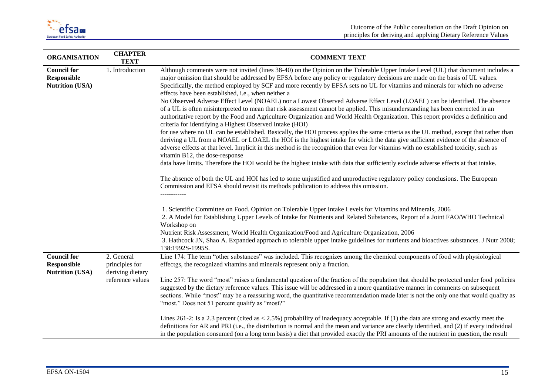

| <b>ORGANISATION</b>                                                | <b>CHAPTER</b><br><b>TEXT</b>                    | <b>COMMENT TEXT</b>                                                                                                                                                                                                                                                                                                                                                                                                                                                                                                                                                                                                                                                                                                                                                                                                                                                                                                                                                                                                                                                                                                                                                                                                                                                                                                                                                                                                                                                                                                                                                                                                                                                                                                                                                                                                                                                                                                                                                                                                            |
|--------------------------------------------------------------------|--------------------------------------------------|--------------------------------------------------------------------------------------------------------------------------------------------------------------------------------------------------------------------------------------------------------------------------------------------------------------------------------------------------------------------------------------------------------------------------------------------------------------------------------------------------------------------------------------------------------------------------------------------------------------------------------------------------------------------------------------------------------------------------------------------------------------------------------------------------------------------------------------------------------------------------------------------------------------------------------------------------------------------------------------------------------------------------------------------------------------------------------------------------------------------------------------------------------------------------------------------------------------------------------------------------------------------------------------------------------------------------------------------------------------------------------------------------------------------------------------------------------------------------------------------------------------------------------------------------------------------------------------------------------------------------------------------------------------------------------------------------------------------------------------------------------------------------------------------------------------------------------------------------------------------------------------------------------------------------------------------------------------------------------------------------------------------------------|
| <b>Council for</b><br><b>Responsible</b><br><b>Nutrition (USA)</b> | 1. Introduction                                  | Although comments were not invited (lines 38-40) on the Opinion on the Tolerable Upper Intake Level (UL) that document includes a<br>major omission that should be addressed by EFSA before any policy or regulatory decisions are made on the basis of UL values.<br>Specifically, the method employed by SCF and more recently by EFSA sets no UL for vitamins and minerals for which no adverse<br>effects have been established, i.e., when neither a<br>No Observed Adverse Effect Level (NOAEL) nor a Lowest Observed Adverse Effect Level (LOAEL) can be identified. The absence<br>of a UL is often misinterpreted to mean that risk assessment cannot be applied. This misunderstanding has been corrected in an<br>authoritative report by the Food and Agriculture Organization and World Health Organization. This report provides a definition and<br>criteria for identifying a Highest Observed Intake (HOI)<br>for use where no UL can be established. Basically, the HOI process applies the same criteria as the UL method, except that rather than<br>deriving a UL from a NOAEL or LOAEL the HOI is the highest intake for which the data give sufficient evidence of the absence of<br>adverse effects at that level. Implicit in this method is the recognition that even for vitamins with no established toxicity, such as<br>vitamin B12, the dose-response<br>data have limits. Therefore the HOI would be the highest intake with data that sufficiently exclude adverse effects at that intake.<br>The absence of both the UL and HOI has led to some unjustified and unproductive regulatory policy conclusions. The European<br>Commission and EFSA should revisit its methods publication to address this omission.<br>------------<br>1. Scientific Committee on Food. Opinion on Tolerable Upper Intake Levels for Vitamins and Minerals, 2006<br>2. A Model for Establishing Upper Levels of Intake for Nutrients and Related Substances, Report of a Joint FAO/WHO Technical<br>Workshop on |
|                                                                    |                                                  | Nutrient Risk Assessment, World Health Organization/Food and Agriculture Organization, 2006<br>3. Hathcock JN, Shao A. Expanded approach to tolerable upper intake guidelines for nutrients and bioactives substances. J Nutr 2008;<br>138:1992S-1995S.                                                                                                                                                                                                                                                                                                                                                                                                                                                                                                                                                                                                                                                                                                                                                                                                                                                                                                                                                                                                                                                                                                                                                                                                                                                                                                                                                                                                                                                                                                                                                                                                                                                                                                                                                                        |
| <b>Council for</b><br><b>Responsible</b><br><b>Nutrition (USA)</b> | 2. General<br>principles for<br>deriving dietary | Line 174: The term "other substances" was included. This recognizes among the chemical components of food with physiological<br>effectgs, the recognized vitamins and minerals represent only a fraction.                                                                                                                                                                                                                                                                                                                                                                                                                                                                                                                                                                                                                                                                                                                                                                                                                                                                                                                                                                                                                                                                                                                                                                                                                                                                                                                                                                                                                                                                                                                                                                                                                                                                                                                                                                                                                      |
|                                                                    | reference values                                 | Line 257: The word "most" raises a fundamental question of the fraction of the population that should be protected under food policies<br>suggested by the dietary reference values. This issue will be addressed in a more quantitative manner in comments on subsequent<br>sections. While "most" may be a reassuring word, the quantitative recommendation made later is not the only one that would quality as<br>"most." Does not 51 percent qualify as "most?"                                                                                                                                                                                                                                                                                                                                                                                                                                                                                                                                                                                                                                                                                                                                                                                                                                                                                                                                                                                                                                                                                                                                                                                                                                                                                                                                                                                                                                                                                                                                                           |
|                                                                    |                                                  | Lines 261-2: Is a 2.3 percent (cited as $< 2.5\%$ ) probability of inadequacy acceptable. If (1) the data are strong and exactly meet the<br>definitions for AR and PRI (i.e., the distribution is normal and the mean and variance are clearly identified, and (2) if every individual<br>in the population consumed (on a long term basis) a diet that provided exactly the PRI amounts of the nutrient in question, the result                                                                                                                                                                                                                                                                                                                                                                                                                                                                                                                                                                                                                                                                                                                                                                                                                                                                                                                                                                                                                                                                                                                                                                                                                                                                                                                                                                                                                                                                                                                                                                                              |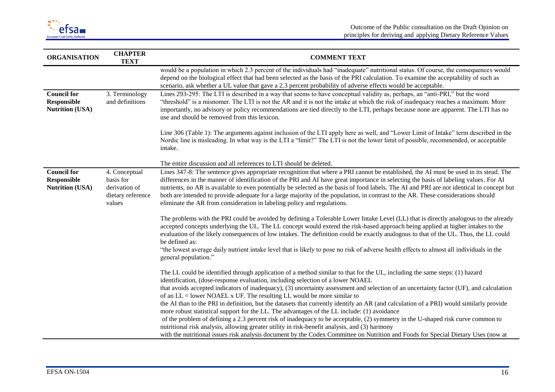

| <b>ORGANISATION</b>                                                | <b>CHAPTER</b><br><b>TEXT</b>                                              | <b>COMMENT TEXT</b>                                                                                                                                                                                                                                                                                                                                                                                                                                                                                                                                                                                                                                                                                                                                                                                                                                                                                                                                                                                                                                        |
|--------------------------------------------------------------------|----------------------------------------------------------------------------|------------------------------------------------------------------------------------------------------------------------------------------------------------------------------------------------------------------------------------------------------------------------------------------------------------------------------------------------------------------------------------------------------------------------------------------------------------------------------------------------------------------------------------------------------------------------------------------------------------------------------------------------------------------------------------------------------------------------------------------------------------------------------------------------------------------------------------------------------------------------------------------------------------------------------------------------------------------------------------------------------------------------------------------------------------|
|                                                                    |                                                                            | would be a population in which 2.3 percent of the individuals had "inadequate" nutritional status. Of course, the consequences would<br>depend on the biological effect that had been selected as the basis of the PRI calculation. To examine the acceptability of such as<br>scenario, ask whether a UL value that gave a 2.3 percent probability of adverse effects would be acceptable.                                                                                                                                                                                                                                                                                                                                                                                                                                                                                                                                                                                                                                                                |
| <b>Council for</b><br><b>Responsible</b><br><b>Nutrition (USA)</b> | 3. Terminology<br>and definitions                                          | Lines 293-295: The LTI is described in a way that seems to have conceptual validity as, perhaps, an "anti-PRI," but the word<br>"threshold" is a misnomer. The LTI is not the AR and it is not the intake at which the risk of inadequacy reaches a maximum. More<br>importantly, no advisory or policy recommendations are tied directly to the LTI, perhaps because none are apparent. The LTI has no<br>use and should be removed from this lexicon.                                                                                                                                                                                                                                                                                                                                                                                                                                                                                                                                                                                                    |
|                                                                    |                                                                            | Line 306 (Table 1): The arguments against inclusion of the LTI apply here as well, and "Lower Limit of Intake" term described in the<br>Nordic line is misleading. In what way is the LTI a "limit?" The LTI is not the lower limit of possible, recommended, or acceptable<br>intake.                                                                                                                                                                                                                                                                                                                                                                                                                                                                                                                                                                                                                                                                                                                                                                     |
|                                                                    |                                                                            | The entire discussion and all references to LTI should be deleted.                                                                                                                                                                                                                                                                                                                                                                                                                                                                                                                                                                                                                                                                                                                                                                                                                                                                                                                                                                                         |
| <b>Council for</b><br><b>Responsible</b><br><b>Nutrition (USA)</b> | 4. Conceptual<br>basis for<br>derivation of<br>dietary reference<br>values | Lines 347-8: The sentence gives appropriate recognition that where a PRI cannot be established, the AI must be used in its stead. The<br>differences in the manner of identification of the PRI and AI have great importance in selecting the basis of labeling values. For AI<br>nutrients, no AR is available to even potentially be selected as the basis of food labels. The AI and PRI are not identical in concept but<br>both are intended to provide adequate for a large majority of the population, in contrast to the AR. These considerations should<br>eliminate the AR from consideration in labeling policy and regulations.                                                                                                                                                                                                                                                                                                                                                                                                                |
|                                                                    |                                                                            | The problems with the PRI could be avoided by defining a Tolerable Lower Intake Level (LL) that is directly analogous to the already<br>accepted concepts underlying the UL. The LL concept would extend the risk-based approach being applied at higher intakes to the<br>evaluation of the likely consequences of low intakes. The definition could be exactly analogous to that of the UL. Thus, the LL could<br>be defined as:<br>"the lowest average daily nutrient intake level that is likely to pose no risk of adverse health effects to almost all individuals in the<br>general population."                                                                                                                                                                                                                                                                                                                                                                                                                                                    |
|                                                                    |                                                                            | The LL could be identified through application of a method similar to that for the UL, including the same steps: (1) hazard<br>identification, (dose-response evaluation, including selection of a lower NOAEL<br>that avoids accepted indicators of inadequacy), (3) uncertainty assessment and selection of an uncertainty factor (UF), and calculation<br>of an $LL =$ lower NOAEL x UF. The resulting $LL$ would be more similar to<br>the AI than to the PRI in definition, but the datasets that currently identify an AR (and calculation of a PRI) would similarly provide<br>more robust statistical support for the LL. The advantages of the LL include: (1) avoidance<br>of the problem of defining a 2.3 percent risk of inadequacy to be acceptable, (2) symmetry in the U-shaped risk curve common to<br>nutritional risk analysis, allowing greater utility in risk-benefit analysis, and (3) harmony<br>with the nutritional issues risk analysis document by the Codex Committee on Nutrition and Foods for Special Dietary Uses (now at |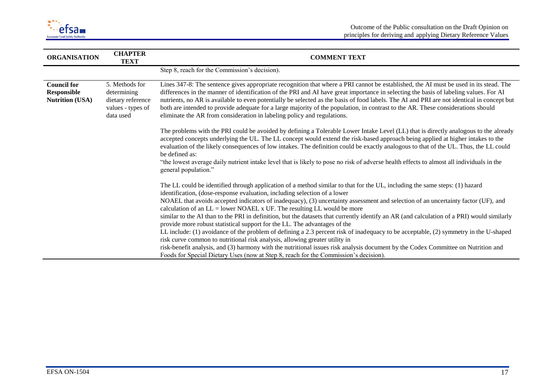

| <b>ORGANISATION</b>                                                | <b>CHAPTER</b><br><b>TEXT</b>                                                        | <b>COMMENT TEXT</b>                                                                                                                                                                                                                                                                                                                                                                                                                                                                                                                                                                                                                                                                                                                                                                                                                                                                                                                                                                                                                                                                                       |
|--------------------------------------------------------------------|--------------------------------------------------------------------------------------|-----------------------------------------------------------------------------------------------------------------------------------------------------------------------------------------------------------------------------------------------------------------------------------------------------------------------------------------------------------------------------------------------------------------------------------------------------------------------------------------------------------------------------------------------------------------------------------------------------------------------------------------------------------------------------------------------------------------------------------------------------------------------------------------------------------------------------------------------------------------------------------------------------------------------------------------------------------------------------------------------------------------------------------------------------------------------------------------------------------|
|                                                                    |                                                                                      | Step 8, reach for the Commission's decision).                                                                                                                                                                                                                                                                                                                                                                                                                                                                                                                                                                                                                                                                                                                                                                                                                                                                                                                                                                                                                                                             |
| <b>Council for</b><br><b>Responsible</b><br><b>Nutrition (USA)</b> | 5. Methods for<br>determining<br>dietary reference<br>values - types of<br>data used | Lines 347-8: The sentence gives appropriate recognition that where a PRI cannot be established, the AI must be used in its stead. The<br>differences in the manner of identification of the PRI and AI have great importance in selecting the basis of labeling values. For AI<br>nutrients, no AR is available to even potentially be selected as the basis of food labels. The AI and PRI are not identical in concept but<br>both are intended to provide adequate for a large majority of the population, in contrast to the AR. These considerations should<br>eliminate the AR from consideration in labeling policy and regulations.                                                                                                                                                                                                                                                                                                                                                                                                                                                               |
|                                                                    |                                                                                      | The problems with the PRI could be avoided by defining a Tolerable Lower Intake Level (LL) that is directly analogous to the already<br>accepted concepts underlying the UL. The LL concept would extend the risk-based approach being applied at higher intakes to the<br>evaluation of the likely consequences of low intakes. The definition could be exactly analogous to that of the UL. Thus, the LL could<br>be defined as:<br>"the lowest average daily nutrient intake level that is likely to pose no risk of adverse health effects to almost all individuals in the<br>general population."                                                                                                                                                                                                                                                                                                                                                                                                                                                                                                   |
|                                                                    |                                                                                      | The LL could be identified through application of a method similar to that for the UL, including the same steps: (1) hazard<br>identification, (dose-response evaluation, including selection of a lower<br>NOAEL that avoids accepted indicators of inadequacy), (3) uncertainty assessment and selection of an uncertainty factor (UF), and<br>calculation of an $LL =$ lower NOAEL x UF. The resulting LL would be more<br>similar to the AI than to the PRI in definition, but the datasets that currently identify an AR (and calculation of a PRI) would similarly<br>provide more robust statistical support for the LL. The advantages of the<br>LL include: (1) avoidance of the problem of defining a 2.3 percent risk of inadequacy to be acceptable, (2) symmetry in the U-shaped<br>risk curve common to nutritional risk analysis, allowing greater utility in<br>risk-benefit analysis, and (3) harmony with the nutritional issues risk analysis document by the Codex Committee on Nutrition and<br>Foods for Special Dietary Uses (now at Step 8, reach for the Commission's decision). |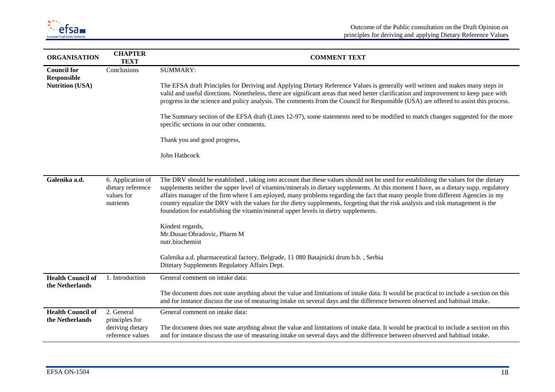

| <b>ORGANISATION</b>                                                | <b>CHAPTER</b><br><b>TEXT</b>                                        | <b>COMMENT TEXT</b>                                                                                                                                                                                                                                                                                                                                                                                                                                                                                                                                                                                                                                                                                                                                                                                                                                      |
|--------------------------------------------------------------------|----------------------------------------------------------------------|----------------------------------------------------------------------------------------------------------------------------------------------------------------------------------------------------------------------------------------------------------------------------------------------------------------------------------------------------------------------------------------------------------------------------------------------------------------------------------------------------------------------------------------------------------------------------------------------------------------------------------------------------------------------------------------------------------------------------------------------------------------------------------------------------------------------------------------------------------|
| <b>Council for</b><br><b>Responsible</b><br><b>Nutrition (USA)</b> | Conclusions                                                          | <b>SUMMARY:</b><br>The EFSA draft Principles for Deriving and Applying Dietary Reference Values is generally well written and makes many steps in<br>valid and useful directions. Nonetheless, there are significant areas that need better clarification and improvement to keep pace with<br>progress in the science and policy analysis. The comments from the Council for Responsible (USA) are offered to assist this process.<br>The Summary section of the EFSA draft (Lines 12-97), some statements need to be modified to match changes suggested for the more<br>specific sections in our other comments.<br>Thank you and good progress,<br>John Hathcock                                                                                                                                                                                     |
| Galenika a.d.                                                      | 6. Application of<br>dietary reference<br>values for<br>nutrients    | The DRV should be established, taking into account that these values should not be used for establishing the values for the dietary<br>supplements neither the upper level of vitamins/minerals in dietary supplements. At this moment I have, as a dietary supp. regulatory<br>affairs manager of the firm where I am eployed, many problems regarding the fact that many people from different Agencies in my<br>country equalize the DRV with the values for the dietry supplements, forgeting that the risk analysis and risk management is the<br>foundation for establishing the vitamin/mineral upper levels in dietry supplements.<br>Kindest regards,<br>Mr.Dusan Obradovic, Pharm M<br>nutr.biochemist<br>Galenika a.d. pharmaceutical factory, Belgrade, 11 080 Batajnicki drum b.b., Serbia<br>Ditetary Supplements Regulatory Affairs Dept. |
| <b>Health Council of</b><br>the Netherlands                        | 1. Introduction                                                      | General comment on intake data:<br>The document does not state anything about the value and limitations of intake data. It would be practical to include a section on this<br>and for instance discuss the use of measuring intake on several days and the difference between observed and habitual intake.                                                                                                                                                                                                                                                                                                                                                                                                                                                                                                                                              |
| <b>Health Council of</b><br>the Netherlands                        | 2. General<br>principles for<br>deriving dietary<br>reference values | General comment on intake data:<br>The document does not state anything about the value and limitations of intake data. It would be practical to include a section on this<br>and for instance discuss the use of measuring intake on several days and the difference between observed and habitual intake.                                                                                                                                                                                                                                                                                                                                                                                                                                                                                                                                              |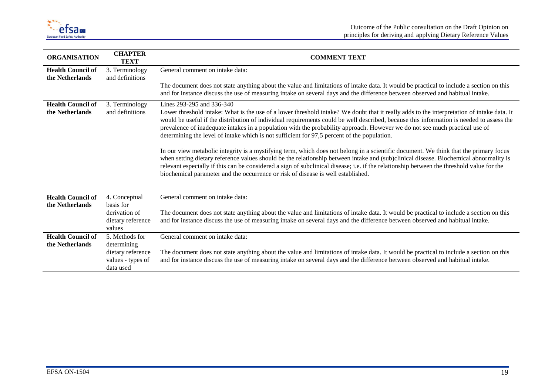

| <b>ORGANISATION</b>                         | <b>CHAPTER</b><br><b>TEXT</b>     | <b>COMMENT TEXT</b>                                                                                                                                                                                                                                                                                                                                                                                                                                                                                             |
|---------------------------------------------|-----------------------------------|-----------------------------------------------------------------------------------------------------------------------------------------------------------------------------------------------------------------------------------------------------------------------------------------------------------------------------------------------------------------------------------------------------------------------------------------------------------------------------------------------------------------|
| <b>Health Council of</b><br>the Netherlands | 3. Terminology<br>and definitions | General comment on intake data:                                                                                                                                                                                                                                                                                                                                                                                                                                                                                 |
|                                             |                                   | The document does not state anything about the value and limitations of intake data. It would be practical to include a section on this<br>and for instance discuss the use of measuring intake on several days and the difference between observed and habitual intake.                                                                                                                                                                                                                                        |
| <b>Health Council of</b><br>the Netherlands | 3. Terminology<br>and definitions | Lines 293-295 and 336-340<br>Lower threshold intake: What is the use of a lower threshold intake? We doubt that it really adds to the interpretation of intake data. It<br>would be useful if the distribution of individual requirements could be well described, because this information is needed to assess the                                                                                                                                                                                             |
|                                             |                                   | prevalence of inadequate intakes in a population with the probability approach. However we do not see much practical use of<br>determining the level of intake which is not sufficient for 97,5 percent of the population.                                                                                                                                                                                                                                                                                      |
|                                             |                                   | In our view metabolic integrity is a mystifying term, which does not belong in a scientific document. We think that the primary focus<br>when setting dietary reference values should be the relationship between intake and (sub)clinical disease. Biochemical abnormality is<br>relevant especially if this can be considered a sign of subclinical disease; i.e. if the relationship between the threshold value for the<br>biochemical parameter and the occurrence or risk of disease is well established. |
| <b>Health Council of</b>                    | 4. Conceptual                     | General comment on intake data:                                                                                                                                                                                                                                                                                                                                                                                                                                                                                 |
| the Netherlands                             | basis for                         |                                                                                                                                                                                                                                                                                                                                                                                                                                                                                                                 |
|                                             | derivation of                     | The document does not state anything about the value and limitations of intake data. It would be practical to include a section on this                                                                                                                                                                                                                                                                                                                                                                         |
|                                             | dietary reference<br>values       | and for instance discuss the use of measuring intake on several days and the difference between observed and habitual intake.                                                                                                                                                                                                                                                                                                                                                                                   |
| <b>Health Council of</b>                    | 5. Methods for                    | General comment on intake data:                                                                                                                                                                                                                                                                                                                                                                                                                                                                                 |
| the Netherlands                             | determining                       |                                                                                                                                                                                                                                                                                                                                                                                                                                                                                                                 |
|                                             | dietary reference                 | The document does not state anything about the value and limitations of intake data. It would be practical to include a section on this                                                                                                                                                                                                                                                                                                                                                                         |
|                                             | values - types of<br>data used    | and for instance discuss the use of measuring intake on several days and the difference between observed and habitual intake.                                                                                                                                                                                                                                                                                                                                                                                   |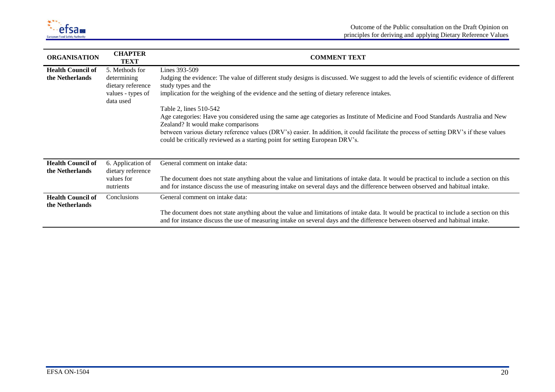

| <b>ORGANISATION</b>                         | <b>CHAPTER</b><br>TEXT                 | <b>COMMENT TEXT</b>                                                                                                                                                                                                                                                      |
|---------------------------------------------|----------------------------------------|--------------------------------------------------------------------------------------------------------------------------------------------------------------------------------------------------------------------------------------------------------------------------|
| <b>Health Council of</b>                    | 5. Methods for                         | Lines 393-509                                                                                                                                                                                                                                                            |
| the Netherlands                             | determining                            | Judging the evidence: The value of different study designs is discussed. We suggest to add the levels of scientific evidence of different                                                                                                                                |
|                                             | dietary reference                      | study types and the                                                                                                                                                                                                                                                      |
|                                             | values - types of<br>data used         | implication for the weighing of the evidence and the setting of dietary reference intakes.                                                                                                                                                                               |
|                                             |                                        | Table 2, lines 510-542                                                                                                                                                                                                                                                   |
|                                             |                                        | Age categories: Have you considered using the same age categories as Institute of Medicine and Food Standards Australia and New<br>Zealand? It would make comparisons                                                                                                    |
|                                             |                                        | between various dietary reference values (DRV's) easier. In addition, it could facilitate the process of setting DRV's if these values<br>could be critically reviewed as a starting point for setting European DRV's.                                                   |
|                                             |                                        |                                                                                                                                                                                                                                                                          |
| <b>Health Council of</b><br>the Netherlands | 6. Application of<br>dietary reference | General comment on intake data:                                                                                                                                                                                                                                          |
|                                             | values for<br>nutrients                | The document does not state anything about the value and limitations of intake data. It would be practical to include a section on this<br>and for instance discuss the use of measuring intake on several days and the difference between observed and habitual intake. |
| <b>Health Council of</b><br>the Netherlands | Conclusions                            | General comment on intake data:                                                                                                                                                                                                                                          |
|                                             |                                        | The document does not state anything about the value and limitations of intake data. It would be practical to include a section on this<br>and for instance discuss the use of measuring intake on several days and the difference between observed and habitual intake. |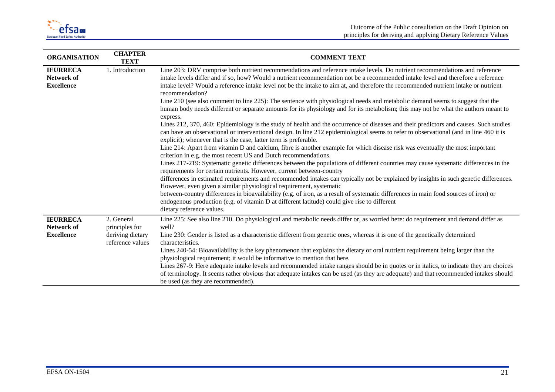

| <b>ORGANISATION</b>                                       | <b>CHAPTER</b><br><b>TEXT</b>                                        | <b>COMMENT TEXT</b>                                                                                                                                                                                                                                                                                                                                                                                                                                                                                                                                                                                                                                                                                                                                                                                                                                                                                                                                                                                                                                                                                                                                                                                                                                                                                                                                                                                                                                                                                                                                                                                                                                                                                                                                                                                                                                                                                                                                                           |
|-----------------------------------------------------------|----------------------------------------------------------------------|-------------------------------------------------------------------------------------------------------------------------------------------------------------------------------------------------------------------------------------------------------------------------------------------------------------------------------------------------------------------------------------------------------------------------------------------------------------------------------------------------------------------------------------------------------------------------------------------------------------------------------------------------------------------------------------------------------------------------------------------------------------------------------------------------------------------------------------------------------------------------------------------------------------------------------------------------------------------------------------------------------------------------------------------------------------------------------------------------------------------------------------------------------------------------------------------------------------------------------------------------------------------------------------------------------------------------------------------------------------------------------------------------------------------------------------------------------------------------------------------------------------------------------------------------------------------------------------------------------------------------------------------------------------------------------------------------------------------------------------------------------------------------------------------------------------------------------------------------------------------------------------------------------------------------------------------------------------------------------|
| <b>IEURRECA</b><br><b>Network of</b><br><b>Excellence</b> | 1. Introduction                                                      | Line 203: DRV comprise both nutrient recommendations and reference intake levels. Do nutrient recommendations and reference<br>intake levels differ and if so, how? Would a nutrient recommendation not be a recommended intake level and therefore a reference<br>intake level? Would a reference intake level not be the intake to aim at, and therefore the recommended nutrient intake or nutrient<br>recommendation?<br>Line 210 (see also comment to line 225): The sentence with physiological needs and metabolic demand seems to suggest that the<br>human body needs different or separate amounts for its physiology and for its metabolism; this may not be what the authors meant to<br>express.<br>Lines 212, 370, 460: Epidemiology is the study of health and the occurrence of diseases and their predictors and causes. Such studies<br>can have an observational or interventional design. In line 212 epidemiological seems to refer to observational (and in line 460 it is<br>explicit); whenever that is the case, latter term is preferable.<br>Line 214: Apart from vitamin D and calcium, fibre is another example for which disease risk was eventually the most important<br>criterion in e.g. the most recent US and Dutch recommendations.<br>Lines 217-219: Systematic genetic differences between the populations of different countries may cause systematic differences in the<br>requirements for certain nutrients. However, current between-country<br>differences in estimated requirements and recommended intakes can typically not be explained by insights in such genetic differences.<br>However, even given a similar physiological requirement, systematic<br>between-country differences in bioavailability (e.g. of iron, as a result of systematic differences in main food sources of iron) or<br>endogenous production (e.g. of vitamin D at different latitude) could give rise to different<br>dietary reference values. |
| <b>IEURRECA</b><br><b>Network of</b><br><b>Excellence</b> | 2. General<br>principles for<br>deriving dietary<br>reference values | Line 225: See also line 210. Do physiological and metabolic needs differ or, as worded here: do requirement and demand differ as<br>well?<br>Line 230: Gender is listed as a characteristic different from genetic ones, whereas it is one of the genetically determined<br>characteristics.<br>Lines 240-54: Bioavailability is the key phenomenon that explains the dietary or oral nutrient requirement being larger than the<br>physiological requirement; it would be informative to mention that here.<br>Lines 267-9: Here adequate intake levels and recommended intake ranges should be in quotes or in italics, to indicate they are choices<br>of terminology. It seems rather obvious that adequate intakes can be used (as they are adequate) and that recommended intakes should<br>be used (as they are recommended).                                                                                                                                                                                                                                                                                                                                                                                                                                                                                                                                                                                                                                                                                                                                                                                                                                                                                                                                                                                                                                                                                                                                          |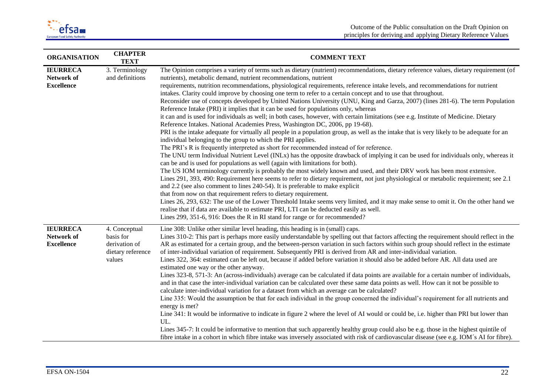

| <b>ORGANISATION</b>                                       | <b>CHAPTER</b><br><b>TEXT</b>                                              | <b>COMMENT TEXT</b>                                                                                                                                                                                                                                                                                                                                                                                                                                                                                                                                                                                                                                                                                                                                                                                                                                                                                                                                                                                                                                                                                                                                                                                                                                                                                                                                                                                                                                                                                                                                                                                                                                                                                                                                                                                                                                                                                                                                                                                                                                                                                                                                                                            |
|-----------------------------------------------------------|----------------------------------------------------------------------------|------------------------------------------------------------------------------------------------------------------------------------------------------------------------------------------------------------------------------------------------------------------------------------------------------------------------------------------------------------------------------------------------------------------------------------------------------------------------------------------------------------------------------------------------------------------------------------------------------------------------------------------------------------------------------------------------------------------------------------------------------------------------------------------------------------------------------------------------------------------------------------------------------------------------------------------------------------------------------------------------------------------------------------------------------------------------------------------------------------------------------------------------------------------------------------------------------------------------------------------------------------------------------------------------------------------------------------------------------------------------------------------------------------------------------------------------------------------------------------------------------------------------------------------------------------------------------------------------------------------------------------------------------------------------------------------------------------------------------------------------------------------------------------------------------------------------------------------------------------------------------------------------------------------------------------------------------------------------------------------------------------------------------------------------------------------------------------------------------------------------------------------------------------------------------------------------|
| <b>IEURRECA</b><br>Network of<br><b>Excellence</b>        | 3. Terminology<br>and definitions                                          | The Opinion comprises a variety of terms such as dietary (nutrient) recommendations, dietary reference values, dietary requirement (of<br>nutrients), metabolic demand, nutrient recommendations, nutrient<br>requirements, nutrition recommendations, physiological requirements, reference intake levels, and recommendations for nutrient<br>intakes. Clarity could improve by choosing one term to refer to a certain concept and to use that throughout.<br>Reconsider use of concepts developed by United Nations University (UNU, King and Garza, 2007) (lines 281-6). The term Population<br>Reference Intake (PRI) it implies that it can be used for populations only, whereas<br>it can and is used for individuals as well; in both cases, however, with certain limitations (see e.g. Institute of Medicine. Dietary<br>Reference Intakes. National Academies Press, Washington DC, 2006, pp 19-68).<br>PRI is the intake adequate for virtually all people in a population group, as well as the intake that is very likely to be adequate for an<br>individual belonging to the group to which the PRI applies.<br>The PRI's R is frequently interpreted as short for recommended instead of for reference.<br>The UNU term Individual Nutrient Level (INLx) has the opposite drawback of implying it can be used for individuals only, whereas it<br>can be and is used for populations as well (again with limitations for both).<br>The US IOM terminology currently is probably the most widely known and used, and their DRV work has been most extensive.<br>Lines 291, 393, 490: Requirement here seems to refer to dietary requirement, not just physiological or metabolic requirement; see 2.1<br>and 2.2 (see also comment to lines 240-54). It is preferable to make explicit<br>that from now on that requirement refers to dietary requirement.<br>Lines 26, 293, 632: The use of the Lower Threshold Intake seems very limited, and it may make sense to omit it. On the other hand we<br>realise that if data are available to estimate PRI, LTI can be deducted easily as well.<br>Lines 299, 351-6, 916: Does the R in RI stand for range or for recommended? |
| <b>IEURRECA</b><br><b>Network of</b><br><b>Excellence</b> | 4. Conceptual<br>basis for<br>derivation of<br>dietary reference<br>values | Line 308: Unlike other similar level heading, this heading is in (small) caps.<br>Lines 310-2: This part is perhaps more easily understandable by spelling out that factors affecting the requirement should reflect in the<br>AR as estimated for a certain group, and the between-person variation in such factors within such group should reflect in the estimate<br>of inter-individual variation of requirement. Subsequently PRI is derived from AR and inter-individual variation.<br>Lines 322, 364: estimated can be left out, because if added before variation it should also be added before AR. All data used are<br>estimated one way or the other anyway.<br>Lines 323-8, 571-3: An (across-individuals) average can be calculated if data points are available for a certain number of individuals,<br>and in that case the inter-individual variation can be calculated over these same data points as well. How can it not be possible to<br>calculate inter-individual variation for a dataset from which an average can be calculated?<br>Line 335: Would the assumption be that for each individual in the group concerned the individual's requirement for all nutrients and<br>energy is met?<br>Line 341: It would be informative to indicate in figure 2 where the level of AI would or could be, i.e. higher than PRI but lower than<br>UL.<br>Lines 345-7: It could be informative to mention that such apparently healthy group could also be e.g. those in the highest quintile of<br>fibre intake in a cohort in which fibre intake was inversely associated with risk of cardiovascular disease (see e.g. IOM's AI for fibre).                                                                                                                                                                                                                                                                                                                                                                                                                                                                                                                                 |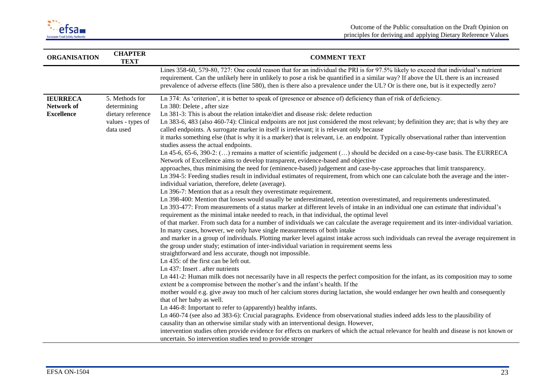

| <b>ORGANISATION</b>                                | <b>CHAPTER</b><br><b>TEXT</b>                                                        | <b>COMMENT TEXT</b>                                                                                                                                                                                                                                                                                                                                                                                                                                                                                                                                                                                                                                                                                                                                                                                                                                                                                                                                                                                                                                                                                                                                                                                                                                                                                                                                                                                                                                                                                                                                                                                                                                                                                                                                                                                                                                                                                                                                                                                                                                                                                                                                                                                                                                                                                                                                                                                                                                                                                                                                                                                                                                                                                                                                                                                                                                                                                                                                                                                                                                                                                                                                         |
|----------------------------------------------------|--------------------------------------------------------------------------------------|-------------------------------------------------------------------------------------------------------------------------------------------------------------------------------------------------------------------------------------------------------------------------------------------------------------------------------------------------------------------------------------------------------------------------------------------------------------------------------------------------------------------------------------------------------------------------------------------------------------------------------------------------------------------------------------------------------------------------------------------------------------------------------------------------------------------------------------------------------------------------------------------------------------------------------------------------------------------------------------------------------------------------------------------------------------------------------------------------------------------------------------------------------------------------------------------------------------------------------------------------------------------------------------------------------------------------------------------------------------------------------------------------------------------------------------------------------------------------------------------------------------------------------------------------------------------------------------------------------------------------------------------------------------------------------------------------------------------------------------------------------------------------------------------------------------------------------------------------------------------------------------------------------------------------------------------------------------------------------------------------------------------------------------------------------------------------------------------------------------------------------------------------------------------------------------------------------------------------------------------------------------------------------------------------------------------------------------------------------------------------------------------------------------------------------------------------------------------------------------------------------------------------------------------------------------------------------------------------------------------------------------------------------------------------------------------------------------------------------------------------------------------------------------------------------------------------------------------------------------------------------------------------------------------------------------------------------------------------------------------------------------------------------------------------------------------------------------------------------------------------------------------------------------|
|                                                    |                                                                                      | Lines 358-60, 579-80, 727: One could reason that for an individual the PRI is for 97.5% likely to exceed that individual's nutrient<br>requirement. Can the unlikely here in unlikely to pose a risk be quantified in a similar way? If above the UL there is an increased<br>prevalence of adverse effects (line 580), then is there also a prevalence under the UL? Or is there one, but is it expectedly zero?                                                                                                                                                                                                                                                                                                                                                                                                                                                                                                                                                                                                                                                                                                                                                                                                                                                                                                                                                                                                                                                                                                                                                                                                                                                                                                                                                                                                                                                                                                                                                                                                                                                                                                                                                                                                                                                                                                                                                                                                                                                                                                                                                                                                                                                                                                                                                                                                                                                                                                                                                                                                                                                                                                                                           |
| <b>IEURRECA</b><br>Network of<br><b>Excellence</b> | 5. Methods for<br>determining<br>dietary reference<br>values - types of<br>data used | Ln 374: As 'criterion', it is better to speak of (presence or absence of) deficiency than of risk of deficiency.<br>Ln 380: Delete, after size<br>Ln 381-3: This is about the relation intake/diet and disease risk: delete reduction<br>Ln 383-6, 483 (also 460-74): Clinical endpoints are not just considered the most relevant; by definition they are; that is why they are<br>called endpoints. A surrogate marker in itself is irrelevant; it is relevant only because<br>it marks something else (that is why it is a marker) that is relevant, i.e. an endpoint. Typically observational rather than intervention<br>studies assess the actual endpoints.<br>Ln 45-6, 65-6, 390-2: $()$ remains a matter of scientific judgement $()$ should be decided on a case-by-case basis. The EURRECA<br>Network of Excellence aims to develop transparent, evidence-based and objective<br>approaches, thus minimising the need for (eminence-based) judgement and case-by-case approaches that limit transparency.<br>Ln 394-5: Feeding studies result in individual estimates of requirement, from which one can calculate both the average and the inter-<br>individual variation, therefore, delete (average).<br>Ln 396-7: Mention that as a result they overestimate requirement.<br>Ln 398-400: Mention that losses would usually be underestimated, retention overestimated, and requirements underestimated.<br>Ln 393-477: From measurements of a status marker at different levels of intake in an individual one can estimate that individual's<br>requirement as the minimal intake needed to reach, in that individual, the optimal level<br>of that marker. From such data for a number of individuals we can calculate the average requirement and its inter-individual variation.<br>In many cases, however, we only have single measurements of both intake<br>and marker in a group of individuals. Plotting marker level against intake across such individuals can reveal the average requirement in<br>the group under study; estimation of inter-individual variation in requirement seems less<br>straightforward and less accurate, though not impossible.<br>Ln 435: of the first can be left out.<br>Ln 437: Insert . after nutrients<br>Ln 441-2: Human milk does not necessarily have in all respects the perfect composition for the infant, as its composition may to some<br>extent be a compromise between the mother's and the infant's health. If the<br>mother would e.g. give away too much of her calcium stores during lactation, she would endanger her own health and consequently<br>that of her baby as well.<br>Ln 446-8: Important to refer to (apparently) healthy infants.<br>Ln 460-74 (see also ad 383-6): Crucial paragraphs. Evidence from observational studies indeed adds less to the plausibility of<br>causality than an otherwise similar study with an interventional design. However,<br>intervention studies often provide evidence for effects on markers of which the actual relevance for health and disease is not known or<br>uncertain. So intervention studies tend to provide stronger |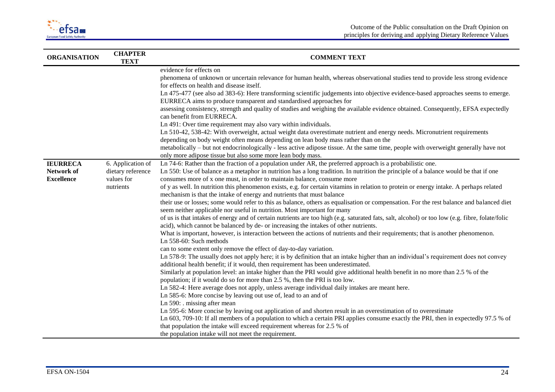

| <b>ORGANISATION</b>                                       | <b>CHAPTER</b><br><b>TEXT</b>                                     | <b>COMMENT TEXT</b>                                                                                                                                                                                                                                                                                                                                                                                                                                                                                                                                                                                                                                                                                                                                                                                                                                                                                                                                                                                                                                                                                                                                                                                                                                                                                                                                                                                                                                                                                                                                                                                                                                                                                                                                                                                                                                                                                                                                                                                                                                                                                                                                                                                                                                                                                        |
|-----------------------------------------------------------|-------------------------------------------------------------------|------------------------------------------------------------------------------------------------------------------------------------------------------------------------------------------------------------------------------------------------------------------------------------------------------------------------------------------------------------------------------------------------------------------------------------------------------------------------------------------------------------------------------------------------------------------------------------------------------------------------------------------------------------------------------------------------------------------------------------------------------------------------------------------------------------------------------------------------------------------------------------------------------------------------------------------------------------------------------------------------------------------------------------------------------------------------------------------------------------------------------------------------------------------------------------------------------------------------------------------------------------------------------------------------------------------------------------------------------------------------------------------------------------------------------------------------------------------------------------------------------------------------------------------------------------------------------------------------------------------------------------------------------------------------------------------------------------------------------------------------------------------------------------------------------------------------------------------------------------------------------------------------------------------------------------------------------------------------------------------------------------------------------------------------------------------------------------------------------------------------------------------------------------------------------------------------------------------------------------------------------------------------------------------------------------|
|                                                           |                                                                   | evidence for effects on<br>phenomena of unknown or uncertain relevance for human health, whereas observational studies tend to provide less strong evidence<br>for effects on health and disease itself.<br>Ln 475-477 (see also ad 383-6): Here transforming scientific judgements into objective evidence-based approaches seems to emerge.<br>EURRECA aims to produce transparent and standardised approaches for<br>assessing consistency, strength and quality of studies and weighing the available evidence obtained. Consequently, EFSA expectedly<br>can benefit from EURRECA.<br>Ln 491: Over time requirement may also vary within individuals.<br>Ln 510-42, 538-42: With overweight, actual weight data overestimate nutrient and energy needs. Micronutrient requirements<br>depending on body weight often means depending on lean body mass rather than on the<br>metabolically – but not endocrinologically - less active adipose tissue. At the same time, people with overweight generally have not<br>only more adipose tissue but also some more lean body mass.                                                                                                                                                                                                                                                                                                                                                                                                                                                                                                                                                                                                                                                                                                                                                                                                                                                                                                                                                                                                                                                                                                                                                                                                                      |
| <b>IEURRECA</b><br><b>Network of</b><br><b>Excellence</b> | 6. Application of<br>dietary reference<br>values for<br>nutrients | Ln 74-6: Rather than the fraction of a population under AR, the preferred approach is a probabilistic one.<br>Ln 550: Use of balance as a metaphor in nutrition has a long tradition. In nutrition the principle of a balance would be that if one<br>consumes more of x one must, in order to maintain balance, consume more<br>of y as well. In nutrition this phenomenon exists, e.g. for certain vitamins in relation to protein or energy intake. A perhaps related<br>mechanism is that the intake of energy and nutrients that must balance<br>their use or losses; some would refer to this as balance, others as equalisation or compensation. For the rest balance and balanced diet<br>seem neither applicable nor useful in nutrition. Most important for many<br>of us is that intakes of energy and of certain nutrients are too high (e.g. saturated fats, salt, alcohol) or too low (e.g. fibre, folate/folic<br>acid), which cannot be balanced by de- or increasing the intakes of other nutrients.<br>What is important, however, is interaction between the actions of nutrients and their requirements; that is another phenomenon.<br>Ln 558-60: Such methods<br>can to some extent only remove the effect of day-to-day variation.<br>Ln 578-9: The usually does not apply here; it is by definition that an intake higher than an individual's requirement does not convey<br>additional health benefit; if it would, then requirement has been underestimated.<br>Similarly at population level: an intake higher than the PRI would give additional health benefit in no more than 2.5 % of the<br>population; if it would do so for more than 2.5 %, then the PRI is too low.<br>Ln 582-4: Here average does not apply, unless average individual daily intakes are meant here.<br>Ln 585-6: More concise by leaving out use of, lead to an and of<br>Ln 590: . missing after mean<br>Ln 595-6: More concise by leaving out application of and shorten result in an overestimation of to overestimate<br>Ln 603, 709-10: If all members of a population to which a certain PRI applies consume exactly the PRI, then in expectedly 97.5 % of<br>that population the intake will exceed requirement whereas for 2.5 % of<br>the population intake will not meet the requirement. |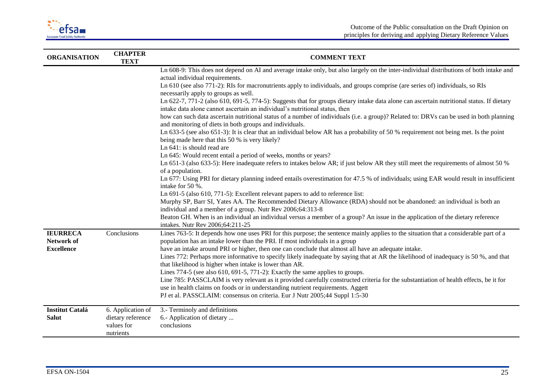

| <b>ORGANISATION</b>                                | <b>CHAPTER</b><br><b>TEXT</b>                                     | <b>COMMENT TEXT</b>                                                                                                                                                                                                                                                                                                                                                                                                                                                                                                                                                                                                                                                                                                                                                                                                                                                                                                                                                                                                                                                                                                                                                                                                                                                                                                                                                                                                                                                                                                                                                                                                                                                                                                                                                                                                         |
|----------------------------------------------------|-------------------------------------------------------------------|-----------------------------------------------------------------------------------------------------------------------------------------------------------------------------------------------------------------------------------------------------------------------------------------------------------------------------------------------------------------------------------------------------------------------------------------------------------------------------------------------------------------------------------------------------------------------------------------------------------------------------------------------------------------------------------------------------------------------------------------------------------------------------------------------------------------------------------------------------------------------------------------------------------------------------------------------------------------------------------------------------------------------------------------------------------------------------------------------------------------------------------------------------------------------------------------------------------------------------------------------------------------------------------------------------------------------------------------------------------------------------------------------------------------------------------------------------------------------------------------------------------------------------------------------------------------------------------------------------------------------------------------------------------------------------------------------------------------------------------------------------------------------------------------------------------------------------|
|                                                    |                                                                   | Ln 608-9: This does not depend on AI and average intake only, but also largely on the inter-individual distributions of both intake and<br>actual individual requirements.<br>Ln 610 (see also 771-2): RIs for macronutrients apply to individuals, and groups comprise (are series of) individuals, so RIs<br>necessarily apply to groups as well.<br>Ln 622-7, 771-2 (also 610, 691-5, 774-5): Suggests that for groups dietary intake data alone can ascertain nutritional status. If dietary<br>intake data alone cannot ascertain an individual's nutritional status, then<br>how can such data ascertain nutritional status of a number of individuals (i.e. a group)? Related to: DRVs can be used in both planning<br>and monitoring of diets in both groups and individuals.<br>Ln 633-5 (see also 651-3): It is clear that an individual below AR has a probability of 50 % requirement not being met. Is the point<br>being made here that this 50 % is very likely?<br>Ln $641$ : is should read are<br>Ln 645: Would recent entail a period of weeks, months or years?<br>Ln 651-3 (also 633-5): Here inadequate refers to intakes below AR; if just below AR they still meet the requirements of almost 50 %<br>of a population.<br>Ln 677: Using PRI for dietary planning indeed entails overestimation for 47.5 % of individuals; using EAR would result in insufficient<br>intake for 50 %.<br>Ln 691-5 (also 610, 771-5): Excellent relevant papers to add to reference list:<br>Murphy SP, Barr SI, Yates AA. The Recommended Dietary Allowance (RDA) should not be abandoned: an individual is both an<br>individual and a member of a group. Nutr Rev 2006;64:313-8<br>Beaton GH. When is an individual an individual versus a member of a group? An issue in the application of the dietary reference |
| <b>IEURRECA</b><br>Network of<br><b>Excellence</b> | Conclusions                                                       | intakes. Nutr Rev 2006:64:211-25<br>Lines 763-5: It depends how one uses PRI for this purpose; the sentence mainly applies to the situation that a considerable part of a<br>population has an intake lower than the PRI. If most individuals in a group<br>have an intake around PRI or higher, then one can conclude that almost all have an adequate intake.<br>Lines 772: Perhaps more informative to specify likely inadequate by saying that at AR the likelihood of inadequacy is 50 %, and that<br>that likelihood is higher when intake is lower than AR.<br>Lines $774-5$ (see also $610$ , $691-5$ , $771-2$ ): Exactly the same applies to groups.<br>Line 785: PASSCLAIM is very relevant as it provided carefully constructed criteria for the substantiation of health effects, be it for<br>use in health claims on foods or in understanding nutrient requirements. Aggett<br>PJ et al. PASSCLAIM: consensus on criteria. Eur J Nutr 2005;44 Suppl 1:5-30                                                                                                                                                                                                                                                                                                                                                                                                                                                                                                                                                                                                                                                                                                                                                                                                                                                  |
| <b>Institut Catalá</b><br><b>Salut</b>             | 6. Application of<br>dietary reference<br>values for<br>nutrients | 3.- Terminoly and definitions<br>6.- Application of dietary<br>conclusions                                                                                                                                                                                                                                                                                                                                                                                                                                                                                                                                                                                                                                                                                                                                                                                                                                                                                                                                                                                                                                                                                                                                                                                                                                                                                                                                                                                                                                                                                                                                                                                                                                                                                                                                                  |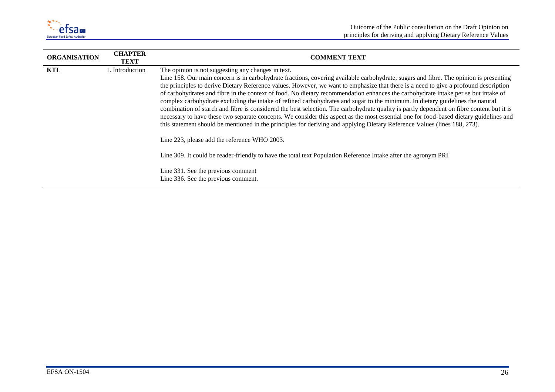

| <b>ORGANISATION</b> | <b>CHAPTER</b><br><b>TEXT</b> | <b>COMMENT TEXT</b>                                                                                                                                                                                                                                                                                                                                                                                                                                                                                                                                                                                                                                                                                                                                                                                                                                                                                                                                                                                                             |
|---------------------|-------------------------------|---------------------------------------------------------------------------------------------------------------------------------------------------------------------------------------------------------------------------------------------------------------------------------------------------------------------------------------------------------------------------------------------------------------------------------------------------------------------------------------------------------------------------------------------------------------------------------------------------------------------------------------------------------------------------------------------------------------------------------------------------------------------------------------------------------------------------------------------------------------------------------------------------------------------------------------------------------------------------------------------------------------------------------|
| KTL                 | Introduction                  | The opinion is not suggesting any changes in text.<br>Line 158. Our main concern is in carbohydrate fractions, covering available carbohydrate, sugars and fibre. The opinion is presenting<br>the principles to derive Dietary Reference values. However, we want to emphasize that there is a need to give a profound description<br>of carbohydrates and fibre in the context of food. No dietary recommendation enhances the carbohydrate intake per se but intake of<br>complex carbohydrate excluding the intake of refined carbohydrates and sugar to the minimum. In dietary guidelines the natural<br>combination of starch and fibre is considered the best selection. The carbohydrate quality is partly dependent on fibre content but it is<br>necessary to have these two separate concepts. We consider this aspect as the most essential one for food-based dietary guidelines and<br>this statement should be mentioned in the principles for deriving and applying Dietary Reference Values (lines 188, 273). |
|                     |                               | Line 223, please add the reference WHO 2003.                                                                                                                                                                                                                                                                                                                                                                                                                                                                                                                                                                                                                                                                                                                                                                                                                                                                                                                                                                                    |
|                     |                               | Line 309. It could be reader-friendly to have the total text Population Reference Intake after the agronym PRI.                                                                                                                                                                                                                                                                                                                                                                                                                                                                                                                                                                                                                                                                                                                                                                                                                                                                                                                 |
|                     |                               | Line 331. See the previous comment<br>Line 336. See the previous comment.                                                                                                                                                                                                                                                                                                                                                                                                                                                                                                                                                                                                                                                                                                                                                                                                                                                                                                                                                       |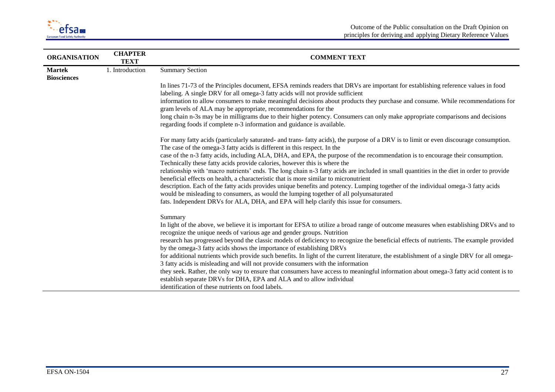

| <b>ORGANISATION</b>                 | <b>CHAPTER</b><br><b>TEXT</b> | <b>COMMENT TEXT</b>                                                                                                                                                                                                               |
|-------------------------------------|-------------------------------|-----------------------------------------------------------------------------------------------------------------------------------------------------------------------------------------------------------------------------------|
| <b>Martek</b><br><b>Biosciences</b> | 1. Introduction               | <b>Summary Section</b>                                                                                                                                                                                                            |
|                                     |                               | In lines 71-73 of the Principles document, EFSA reminds readers that DRVs are important for establishing reference values in food<br>labeling. A single DRV for all omega-3 fatty acids will not provide sufficient               |
|                                     |                               | information to allow consumers to make meaningful decisions about products they purchase and consume. While recommendations for                                                                                                   |
|                                     |                               | gram levels of ALA may be appropriate, recommendations for the<br>long chain n-3s may be in milligrams due to their higher potency. Consumers can only make appropriate comparisons and decisions                                 |
|                                     |                               | regarding foods if complete n-3 information and guidance is available.                                                                                                                                                            |
|                                     |                               | For many fatty acids (particularly saturated- and trans- fatty acids), the purpose of a DRV is to limit or even discourage consumption.<br>The case of the omega-3 fatty acids is different in this respect. In the               |
|                                     |                               | case of the n-3 fatty acids, including ALA, DHA, and EPA, the purpose of the recommendation is to encourage their consumption.<br>Technically these fatty acids provide calories, however this is where the                       |
|                                     |                               | relationship with 'macro nutrients' ends. The long chain n-3 fatty acids are included in small quantities in the diet in order to provide<br>beneficial effects on health, a characteristic that is more similar to micronutrient |
|                                     |                               | description. Each of the fatty acids provides unique benefits and potency. Lumping together of the individual omega-3 fatty acids<br>would be misleading to consumers, as would the lumping together of all polyunsaturated       |
|                                     |                               | fats. Independent DRVs for ALA, DHA, and EPA will help clarify this issue for consumers.                                                                                                                                          |
|                                     |                               | Summary                                                                                                                                                                                                                           |
|                                     |                               | In light of the above, we believe it is important for EFSA to utilize a broad range of outcome measures when establishing DRVs and to<br>recognize the unique needs of various age and gender groups. Nutrition                   |
|                                     |                               | research has progressed beyond the classic models of deficiency to recognize the beneficial effects of nutrients. The example provided                                                                                            |
|                                     |                               | by the omega-3 fatty acids shows the importance of establishing DRVs                                                                                                                                                              |
|                                     |                               | for additional nutrients which provide such benefits. In light of the current literature, the establishment of a single DRV for all omega-<br>3 fatty acids is misleading and will not provide consumers with the information     |
|                                     |                               | they seek. Rather, the only way to ensure that consumers have access to meaningful information about omega-3 fatty acid content is to                                                                                             |
|                                     |                               | establish separate DRVs for DHA, EPA and ALA and to allow individual                                                                                                                                                              |
|                                     |                               | identification of these nutrients on food labels.                                                                                                                                                                                 |